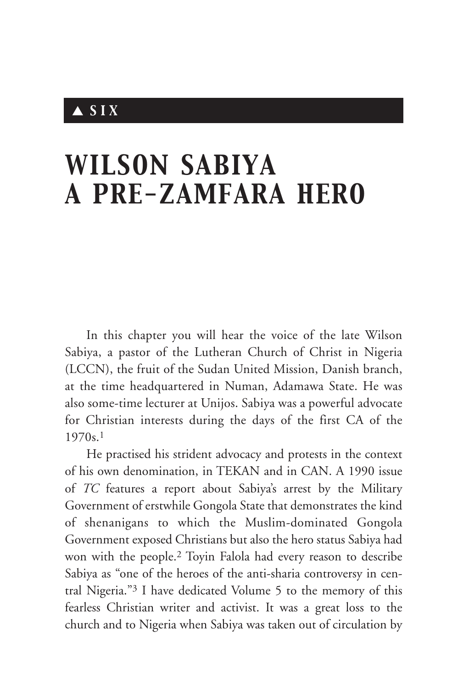## ▲ *SIX*

# *WILSON SABIYA A PRE-ZAMFARA HERO*

In this chapter you will hear the voice of the late Wilson Sabiya, a pastor of the Lutheran Church of Christ in Nigeria (LCCN), the fruit of the Sudan United Mission, Danish branch, at the time headquartered in Numan, Adamawa State. He was also some-time lecturer at Unijos. Sabiya was a powerful advocate for Christian interests during the days of the first CA of the 1970s.1

He practised his strident advocacy and protests in the context of his own denomination, in TEKAN and in CAN. A 1990 issue of *TC* features a report about Sabiya's arrest by the Military Government of erstwhile Gongola State that demonstrates the kind of shenanigans to which the Muslim-dominated Gongola Government exposed Christians but also the hero status Sabiya had won with the people.2 Toyin Falola had every reason to describe Sabiya as "one of the heroes of the anti-sharia controversy in central Nigeria."3 I have dedicated Volume 5 to the memory of this fearless Christian writer and activist. It was a great loss to the church and to Nigeria when Sabiya was taken out of circulation by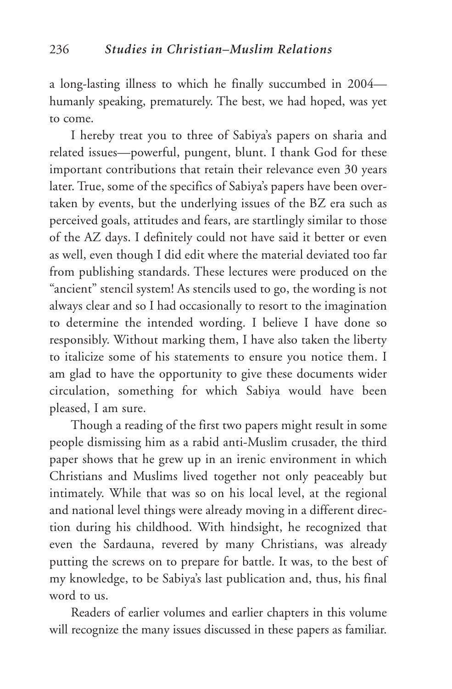a long-lasting illness to which he finally succumbed in 2004 humanly speaking, prematurely. The best, we had hoped, was yet to come.

I hereby treat you to three of Sabiya's papers on sharia and related issues—powerful, pungent, blunt. I thank God for these important contributions that retain their relevance even 30 years later. True, some of the specifics of Sabiya's papers have been overtaken by events, but the underlying issues of the BZ era such as perceived goals, attitudes and fears, are startlingly similar to those of the AZ days. I definitely could not have said it better or even as well, even though I did edit where the material deviated too far from publishing standards. These lectures were produced on the "ancient" stencil system! As stencils used to go, the wording is not always clear and so I had occasionally to resort to the imagination to determine the intended wording. I believe I have done so responsibly. Without marking them, I have also taken the liberty to italicize some of his statements to ensure you notice them. I am glad to have the opportunity to give these documents wider circulation, something for which Sabiya would have been pleased, I am sure.

Though a reading of the first two papers might result in some people dismissing him as a rabid anti-Muslim crusader, the third paper shows that he grew up in an irenic environment in which Christians and Muslims lived together not only peaceably but intimately. While that was so on his local level, at the regional and national level things were already moving in a different direction during his childhood. With hindsight, he recognized that even the Sardauna, revered by many Christians, was already putting the screws on to prepare for battle. It was, to the best of my knowledge, to be Sabiya's last publication and, thus, his final word to us.

Readers of earlier volumes and earlier chapters in this volume will recognize the many issues discussed in these papers as familiar.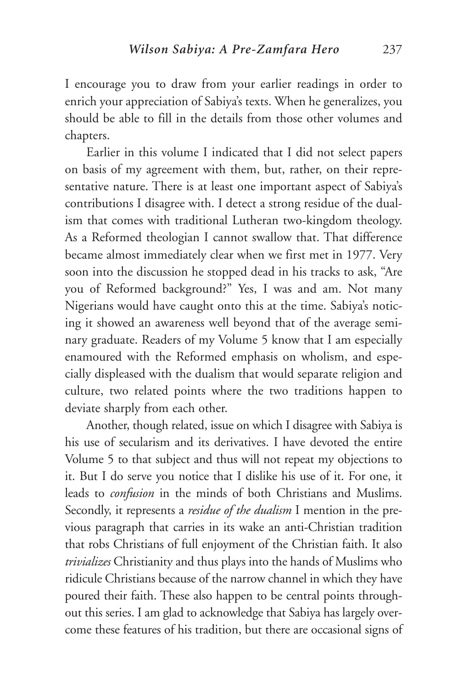I encourage you to draw from your earlier readings in order to enrich your appreciation of Sabiya's texts. When he generalizes, you should be able to fill in the details from those other volumes and chapters.

Earlier in this volume I indicated that I did not select papers on basis of my agreement with them, but, rather, on their representative nature. There is at least one important aspect of Sabiya's contributions I disagree with. I detect a strong residue of the dualism that comes with traditional Lutheran two-kingdom theology. As a Reformed theologian I cannot swallow that. That difference became almost immediately clear when we first met in 1977. Very soon into the discussion he stopped dead in his tracks to ask, "Are you of Reformed background?" Yes, I was and am. Not many Nigerians would have caught onto this at the time. Sabiya's noticing it showed an awareness well beyond that of the average seminary graduate. Readers of my Volume 5 know that I am especially enamoured with the Reformed emphasis on wholism, and especially displeased with the dualism that would separate religion and culture, two related points where the two traditions happen to deviate sharply from each other.

Another, though related, issue on which I disagree with Sabiya is his use of secularism and its derivatives. I have devoted the entire Volume 5 to that subject and thus will not repeat my objections to it. But I do serve you notice that I dislike his use of it. For one, it leads to *confusion* in the minds of both Christians and Muslims. Secondly, it represents a *residue of the dualism* I mention in the previous paragraph that carries in its wake an anti-Christian tradition that robs Christians of full enjoyment of the Christian faith. It also *trivializes* Christianity and thus plays into the hands of Muslims who ridicule Christians because of the narrow channel in which they have poured their faith. These also happen to be central points throughout this series. I am glad to acknowledge that Sabiya has largely overcome these features of his tradition, but there are occasional signs of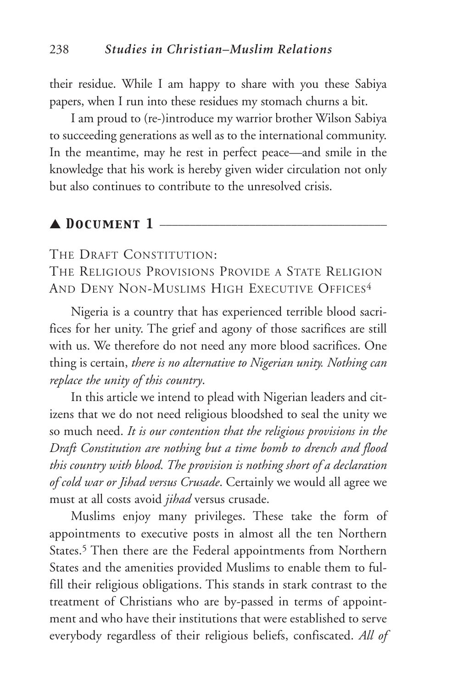their residue. While I am happy to share with you these Sabiya papers, when I run into these residues my stomach churns a bit.

I am proud to (re-)introduce my warrior brother Wilson Sabiya to succeeding generations as well as to the international community. In the meantime, may he rest in perfect peace—and smile in the knowledge that his work is hereby given wider circulation not only but also continues to contribute to the unresolved crisis.

#### $\blacktriangle$  DOCUMENT 1  $\equiv$

THE DRAFT CONSTITUTION:

THE RELIGIOUS PROVISIONS PROVIDE A STATE RELIGION AND DENY NON-MUSLIMS HIGH EXECUTIVE OFFICES<sup>4</sup>

Nigeria is a country that has experienced terrible blood sacrifices for her unity. The grief and agony of those sacrifices are still with us. We therefore do not need any more blood sacrifices. One thing is certain, *there is no alternative to Nigerian unity. Nothing can replace the unity of this country*.

In this article we intend to plead with Nigerian leaders and citizens that we do not need religious bloodshed to seal the unity we so much need. *It is our contention that the religious provisions in the Draft Constitution are nothing but a time bomb to drench and flood this country with blood. The provision is nothing short of a declaration of cold war or Jihad versus Crusade*. Certainly we would all agree we must at all costs avoid *jihad* versus crusade.

Muslims enjoy many privileges. These take the form of appointments to executive posts in almost all the ten Northern States.<sup>5</sup> Then there are the Federal appointments from Northern States and the amenities provided Muslims to enable them to fulfill their religious obligations. This stands in stark contrast to the treatment of Christians who are by-passed in terms of appointment and who have their institutions that were established to serve everybody regardless of their religious beliefs, confiscated. *All of*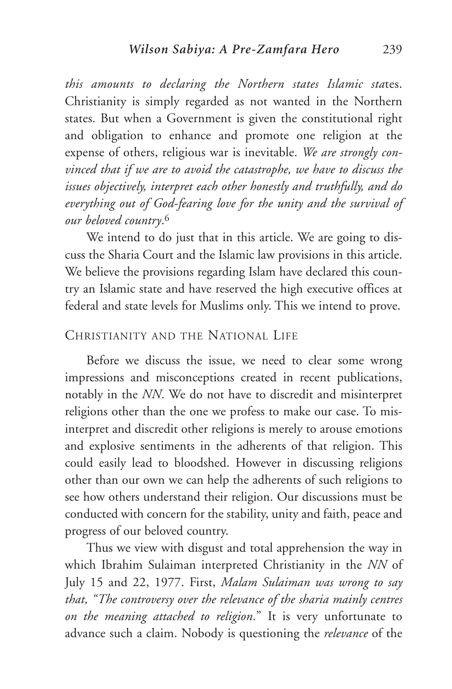*this amounts to declaring the Northern states Islamic sta*tes. Christianity is simply regarded as not wanted in the Northern states. But when a Government is given the constitutional right and obligation to enhance and promote one religion at the expense of others, religious war is inevitable. *We are strongly convinced that if we are to avoid the catastrophe, we have to discuss the issues objectively, interpret each other honestly and truthfully, and do everything out of God-fearing love for the unity and the survival of our beloved country*.6

We intend to do just that in this article. We are going to discuss the Sharia Court and the Islamic law provisions in this article. We believe the provisions regarding Islam have declared this country an Islamic state and have reserved the high executive offices at federal and state levels for Muslims only. This we intend to prove.

#### CHRISTIANITY AND THE NATIONAL LIFE

Before we discuss the issue, we need to clear some wrong impressions and misconceptions created in recent publications, notably in the *NN*. We do not have to discredit and misinterpret religions other than the one we profess to make our case. To misinterpret and discredit other religions is merely to arouse emotions and explosive sentiments in the adherents of that religion. This could easily lead to bloodshed. However in discussing religions other than our own we can help the adherents of such religions to see how others understand their religion. Our discussions must be conducted with concern for the stability, unity and faith, peace and progress of our beloved country.

Thus we view with disgust and total apprehension the way in which Ibrahim Sulaiman interpreted Christianity in the *NN* of July 15 and 22, 1977. First, *Malam Sulaiman was wrong to say that, "The controversy over the relevance of the sharia mainly centres on the meaning attached to religion*." It is very unfortunate to advance such a claim. Nobody is questioning the *relevance* of the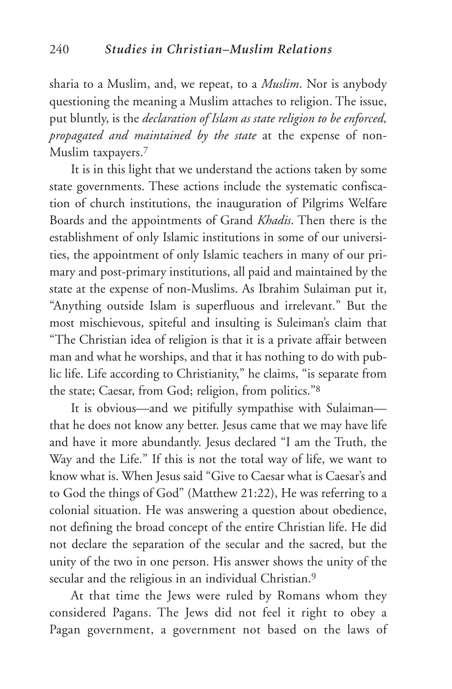sharia to a Muslim, and, we repeat, to a *Muslim*. Nor is anybody questioning the meaning a Muslim attaches to religion. The issue, put bluntly, is the *declaration of Islam as state religion to be enforced, propagated and maintained by the state* at the expense of non-Muslim taxpayers.7

It is in this light that we understand the actions taken by some state governments. These actions include the systematic confiscation of church institutions, the inauguration of Pilgrims Welfare Boards and the appointments of Grand *Khadis*. Then there is the establishment of only Islamic institutions in some of our universities, the appointment of only Islamic teachers in many of our primary and post-primary institutions, all paid and maintained by the state at the expense of non-Muslims. As Ibrahim Sulaiman put it, "Anything outside Islam is superfluous and irrelevant." But the most mischievous, spiteful and insulting is Suleiman's claim that "The Christian idea of religion is that it is a private affair between man and what he worships, and that it has nothing to do with public life. Life according to Christianity," he claims, "is separate from the state; Caesar, from God; religion, from politics."8

It is obvious—and we pitifully sympathise with Sulaiman that he does not know any better. Jesus came that we may have life and have it more abundantly. Jesus declared "I am the Truth, the Way and the Life." If this is not the total way of life, we want to know what is. When Jesus said "Give to Caesar what is Caesar's and to God the things of God" (Matthew 21:22), He was referring to a colonial situation. He was answering a question about obedience, not defining the broad concept of the entire Christian life. He did not declare the separation of the secular and the sacred, but the unity of the two in one person. His answer shows the unity of the secular and the religious in an individual Christian.<sup>9</sup>

At that time the Jews were ruled by Romans whom they considered Pagans. The Jews did not feel it right to obey a Pagan government, a government not based on the laws of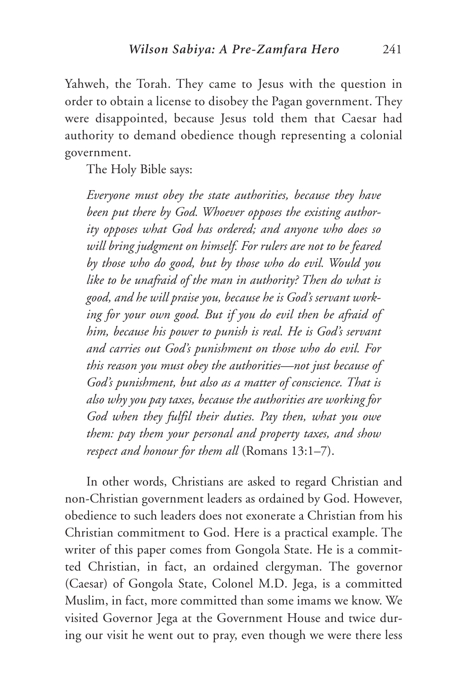Yahweh, the Torah. They came to Jesus with the question in order to obtain a license to disobey the Pagan government. They were disappointed, because Jesus told them that Caesar had authority to demand obedience though representing a colonial government.

The Holy Bible says:

*Everyone must obey the state authorities, because they have been put there by God. Whoever opposes the existing authority opposes what God has ordered; and anyone who does so will bring judgment on himself. For rulers are not to be feared by those who do good, but by those who do evil. Would you like to be unafraid of the man in authority? Then do what is good, and he will praise you, because he is God's servant working for your own good. But if you do evil then be afraid of him, because his power to punish is real. He is God's servant and carries out God's punishment on those who do evil. For this reason you must obey the authorities—not just because of God's punishment, but also as a matter of conscience. That is also why you pay taxes, because the authorities are working for God when they fulfil their duties. Pay then, what you owe them: pay them your personal and property taxes, and show respect and honour for them all* (Romans 13:1–7).

In other words, Christians are asked to regard Christian and non-Christian government leaders as ordained by God. However, obedience to such leaders does not exonerate a Christian from his Christian commitment to God. Here is a practical example. The writer of this paper comes from Gongola State. He is a committed Christian, in fact, an ordained clergyman. The governor (Caesar) of Gongola State, Colonel M.D. Jega, is a committed Muslim, in fact, more committed than some imams we know. We visited Governor Jega at the Government House and twice during our visit he went out to pray, even though we were there less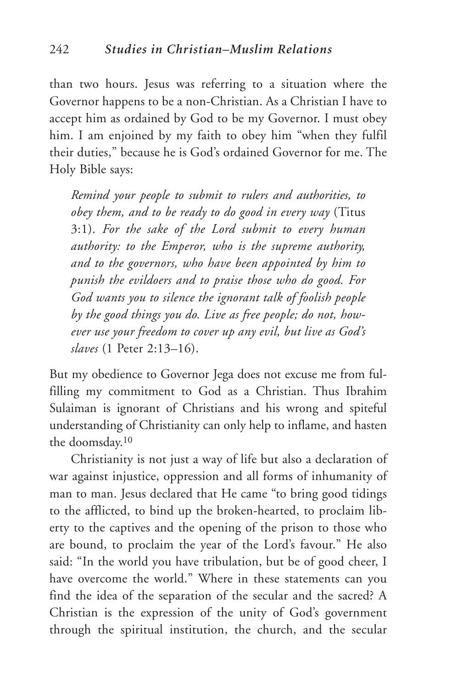than two hours. Jesus was referring to a situation where the Governor happens to be a non-Christian. As a Christian I have to accept him as ordained by God to be my Governor. I must obey him. I am enjoined by my faith to obey him "when they fulfil their duties," because he is God's ordained Governor for me. The Holy Bible says:

*Remind your people to submit to rulers and authorities, to obey them, and to be ready to do good in every way* (Titus 3:1). *For the sake of the Lord submit to every human authority: to the Emperor, who is the supreme authority, and to the governors, who have been appointed by him to punish the evildoers and to praise those who do good. For God wants you to silence the ignorant talk of foolish people by the good things you do. Live as free people; do not, however use your freedom to cover up any evil, but live as God's slaves* (1 Peter 2:13–16).

But my obedience to Governor Jega does not excuse me from fulfilling my commitment to God as a Christian. Thus Ibrahim Sulaiman is ignorant of Christians and his wrong and spiteful understanding of Christianity can only help to inflame, and hasten the doomsday.10

Christianity is not just a way of life but also a declaration of war against injustice, oppression and all forms of inhumanity of man to man. Jesus declared that He came "to bring good tidings to the afflicted, to bind up the broken-hearted, to proclaim liberty to the captives and the opening of the prison to those who are bound, to proclaim the year of the Lord's favour." He also said: "In the world you have tribulation, but be of good cheer, I have overcome the world." Where in these statements can you find the idea of the separation of the secular and the sacred? A Christian is the expression of the unity of God's government through the spiritual institution, the church, and the secular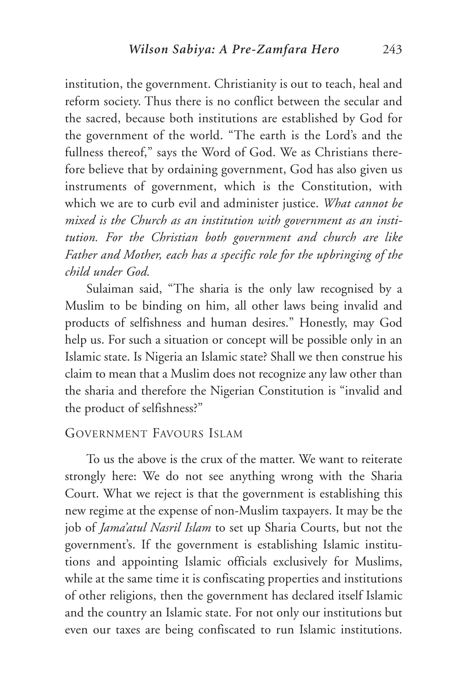institution, the government. Christianity is out to teach, heal and reform society. Thus there is no conflict between the secular and the sacred, because both institutions are established by God for the government of the world. "The earth is the Lord's and the fullness thereof," says the Word of God. We as Christians therefore believe that by ordaining government, God has also given us instruments of government, which is the Constitution, with which we are to curb evil and administer justice. *What cannot be mixed is the Church as an institution with government as an institution. For the Christian both government and church are like Father and Mother, each has a specific role for the upbringing of the child under God.*

Sulaiman said, "The sharia is the only law recognised by a Muslim to be binding on him, all other laws being invalid and products of selfishness and human desires." Honestly, may God help us. For such a situation or concept will be possible only in an Islamic state. Is Nigeria an Islamic state? Shall we then construe his claim to mean that a Muslim does not recognize any law other than the sharia and therefore the Nigerian Constitution is "invalid and the product of selfishness?"

#### GOVERNMENT FAVOURS ISLAM

To us the above is the crux of the matter. We want to reiterate strongly here: We do not see anything wrong with the Sharia Court. What we reject is that the government is establishing this new regime at the expense of non-Muslim taxpayers. It may be the job of *Jama'atul Nasril Islam* to set up Sharia Courts, but not the government's. If the government is establishing Islamic institutions and appointing Islamic officials exclusively for Muslims, while at the same time it is confiscating properties and institutions of other religions, then the government has declared itself Islamic and the country an Islamic state. For not only our institutions but even our taxes are being confiscated to run Islamic institutions.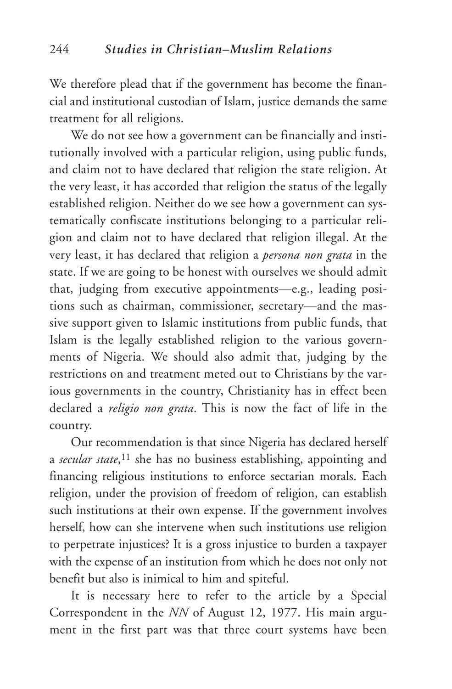We therefore plead that if the government has become the financial and institutional custodian of Islam, justice demands the same treatment for all religions.

We do not see how a government can be financially and institutionally involved with a particular religion, using public funds, and claim not to have declared that religion the state religion. At the very least, it has accorded that religion the status of the legally established religion. Neither do we see how a government can systematically confiscate institutions belonging to a particular religion and claim not to have declared that religion illegal. At the very least, it has declared that religion a *persona non grata* in the state. If we are going to be honest with ourselves we should admit that, judging from executive appointments—e.g., leading positions such as chairman, commissioner, secretary—and the massive support given to Islamic institutions from public funds, that Islam is the legally established religion to the various governments of Nigeria. We should also admit that, judging by the restrictions on and treatment meted out to Christians by the various governments in the country, Christianity has in effect been declared a *religio non grata*. This is now the fact of life in the country.

Our recommendation is that since Nigeria has declared herself a *secular state*,11 she has no business establishing, appointing and financing religious institutions to enforce sectarian morals. Each religion, under the provision of freedom of religion, can establish such institutions at their own expense. If the government involves herself, how can she intervene when such institutions use religion to perpetrate injustices? It is a gross injustice to burden a taxpayer with the expense of an institution from which he does not only not benefit but also is inimical to him and spiteful.

It is necessary here to refer to the article by a Special Correspondent in the *NN* of August 12, 1977. His main argument in the first part was that three court systems have been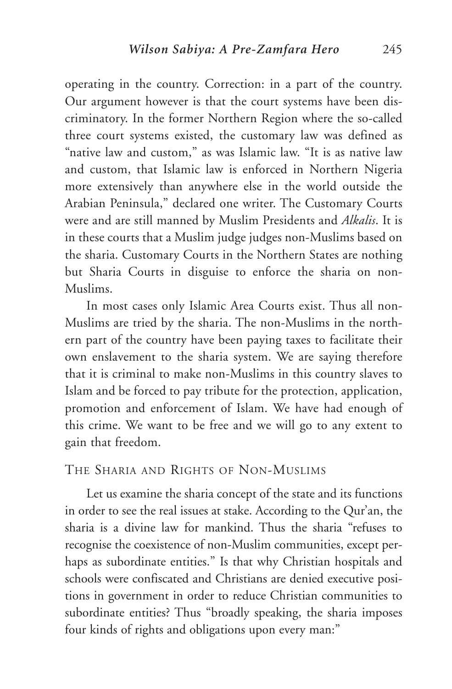operating in the country. Correction: in a part of the country. Our argument however is that the court systems have been discriminatory. In the former Northern Region where the so-called three court systems existed, the customary law was defined as "native law and custom," as was Islamic law. "It is as native law and custom, that Islamic law is enforced in Northern Nigeria more extensively than anywhere else in the world outside the Arabian Peninsula," declared one writer. The Customary Courts were and are still manned by Muslim Presidents and *Alkalis*. It is in these courts that a Muslim judge judges non-Muslims based on the sharia. Customary Courts in the Northern States are nothing but Sharia Courts in disguise to enforce the sharia on non-Muslims.

In most cases only Islamic Area Courts exist. Thus all non-Muslims are tried by the sharia. The non-Muslims in the northern part of the country have been paying taxes to facilitate their own enslavement to the sharia system. We are saying therefore that it is criminal to make non-Muslims in this country slaves to Islam and be forced to pay tribute for the protection, application, promotion and enforcement of Islam. We have had enough of this crime. We want to be free and we will go to any extent to gain that freedom.

#### THE SHARIA AND RIGHTS OF NON-MUSLIMS

Let us examine the sharia concept of the state and its functions in order to see the real issues at stake. According to the Qur'an, the sharia is a divine law for mankind. Thus the sharia "refuses to recognise the coexistence of non-Muslim communities, except perhaps as subordinate entities." Is that why Christian hospitals and schools were confiscated and Christians are denied executive positions in government in order to reduce Christian communities to subordinate entities? Thus "broadly speaking, the sharia imposes four kinds of rights and obligations upon every man:"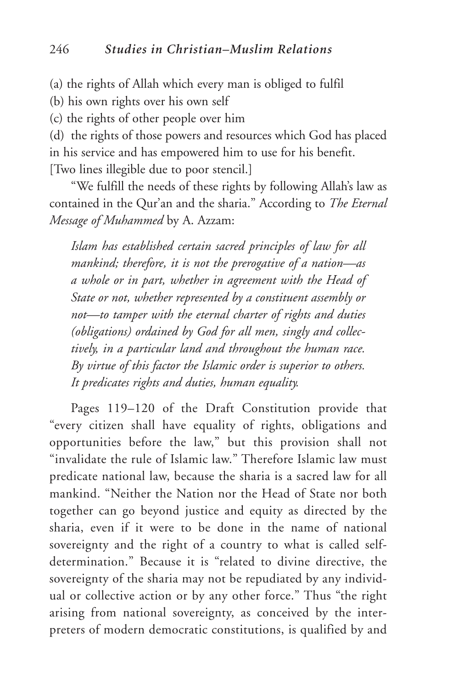(a) the rights of Allah which every man is obliged to fulfil

(b) his own rights over his own self

(c) the rights of other people over him

(d) the rights of those powers and resources which God has placed in his service and has empowered him to use for his benefit. [Two lines illegible due to poor stencil.]

"We fulfill the needs of these rights by following Allah's law as contained in the Qur'an and the sharia." According to *The Eternal Message of Muhammed* by A. Azzam:

*Islam has established certain sacred principles of law for all mankind; therefore, it is not the prerogative of a nation—as a whole or in part, whether in agreement with the Head of State or not, whether represented by a constituent assembly or not—to tamper with the eternal charter of rights and duties (obligations) ordained by God for all men, singly and collectively, in a particular land and throughout the human race. By virtue of this factor the Islamic order is superior to others. It predicates rights and duties, human equality.*

Pages 119–120 of the Draft Constitution provide that "every citizen shall have equality of rights, obligations and opportunities before the law," but this provision shall not "invalidate the rule of Islamic law." Therefore Islamic law must predicate national law, because the sharia is a sacred law for all mankind. "Neither the Nation nor the Head of State nor both together can go beyond justice and equity as directed by the sharia, even if it were to be done in the name of national sovereignty and the right of a country to what is called selfdetermination." Because it is "related to divine directive, the sovereignty of the sharia may not be repudiated by any individual or collective action or by any other force." Thus "the right arising from national sovereignty, as conceived by the interpreters of modern democratic constitutions, is qualified by and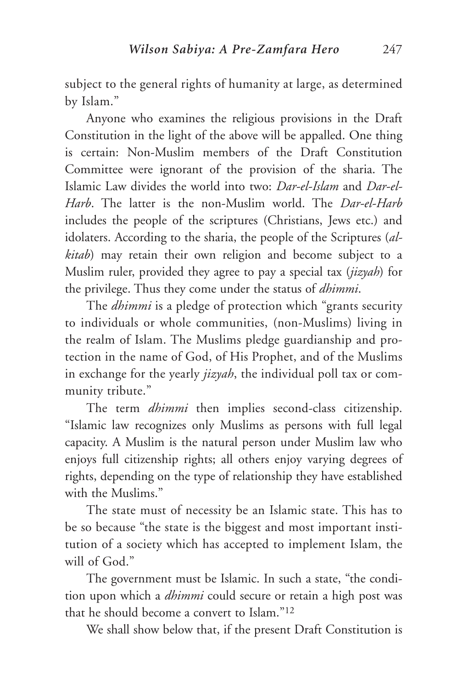subject to the general rights of humanity at large, as determined by Islam."

Anyone who examines the religious provisions in the Draft Constitution in the light of the above will be appalled. One thing is certain: Non-Muslim members of the Draft Constitution Committee were ignorant of the provision of the sharia. The Islamic Law divides the world into two: *Dar-el-Islam* and *Dar-el-Harb*. The latter is the non-Muslim world. The *Dar-el-Harb* includes the people of the scriptures (Christians, Jews etc.) and idolaters. According to the sharia, the people of the Scriptures (*alkitab*) may retain their own religion and become subject to a Muslim ruler, provided they agree to pay a special tax (*jizyah*) for the privilege. Thus they come under the status of *dhimmi*.

The *dhimmi* is a pledge of protection which "grants security to individuals or whole communities, (non-Muslims) living in the realm of Islam. The Muslims pledge guardianship and protection in the name of God, of His Prophet, and of the Muslims in exchange for the yearly *jizyah*, the individual poll tax or community tribute."

The term *dhimmi* then implies second-class citizenship. "Islamic law recognizes only Muslims as persons with full legal capacity. A Muslim is the natural person under Muslim law who enjoys full citizenship rights; all others enjoy varying degrees of rights, depending on the type of relationship they have established with the Muslims."

The state must of necessity be an Islamic state. This has to be so because "the state is the biggest and most important institution of a society which has accepted to implement Islam, the will of God."

The government must be Islamic. In such a state, "the condition upon which a *dhimmi* could secure or retain a high post was that he should become a convert to Islam."12

We shall show below that, if the present Draft Constitution is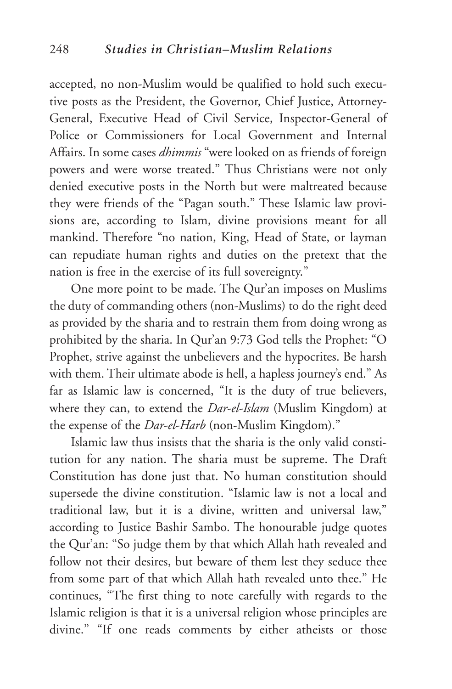accepted, no non-Muslim would be qualified to hold such executive posts as the President, the Governor, Chief Justice, Attorney-General, Executive Head of Civil Service, Inspector-General of Police or Commissioners for Local Government and Internal Affairs. In some cases *dhimmis* "were looked on as friends of foreign powers and were worse treated." Thus Christians were not only denied executive posts in the North but were maltreated because they were friends of the "Pagan south." These Islamic law provisions are, according to Islam, divine provisions meant for all mankind. Therefore "no nation, King, Head of State, or layman can repudiate human rights and duties on the pretext that the nation is free in the exercise of its full sovereignty."

One more point to be made. The Qur'an imposes on Muslims the duty of commanding others (non-Muslims) to do the right deed as provided by the sharia and to restrain them from doing wrong as prohibited by the sharia. In Qur'an 9:73 God tells the Prophet: "O Prophet, strive against the unbelievers and the hypocrites. Be harsh with them. Their ultimate abode is hell, a hapless journey's end." As far as Islamic law is concerned, "It is the duty of true believers, where they can, to extend the *Dar-el-Islam* (Muslim Kingdom) at the expense of the *Dar-el-Harb* (non-Muslim Kingdom)."

Islamic law thus insists that the sharia is the only valid constitution for any nation. The sharia must be supreme. The Draft Constitution has done just that. No human constitution should supersede the divine constitution. "Islamic law is not a local and traditional law, but it is a divine, written and universal law," according to Justice Bashir Sambo. The honourable judge quotes the Qur'an: "So judge them by that which Allah hath revealed and follow not their desires, but beware of them lest they seduce thee from some part of that which Allah hath revealed unto thee." He continues, "The first thing to note carefully with regards to the Islamic religion is that it is a universal religion whose principles are divine." "If one reads comments by either atheists or those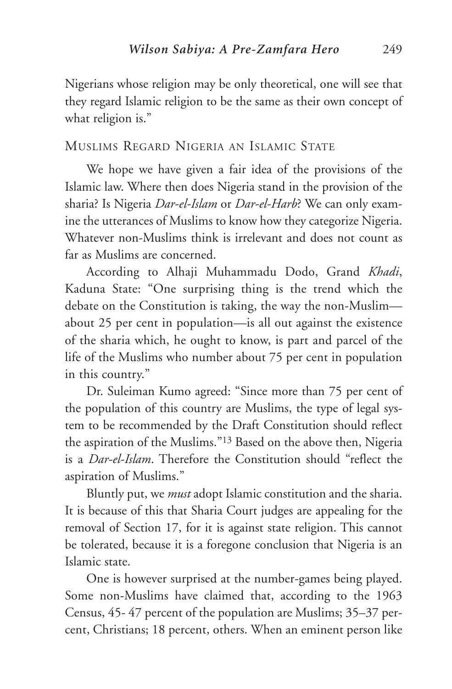Nigerians whose religion may be only theoretical, one will see that they regard Islamic religion to be the same as their own concept of what religion is."

#### MUSLIMS REGARD NIGERIA AN ISLAMIC STATE

We hope we have given a fair idea of the provisions of the Islamic law. Where then does Nigeria stand in the provision of the sharia? Is Nigeria *Dar-el-Islam* or *Dar-el-Harb*? We can only examine the utterances of Muslims to know how they categorize Nigeria. Whatever non-Muslims think is irrelevant and does not count as far as Muslims are concerned.

According to Alhaji Muhammadu Dodo, Grand *Khadi*, Kaduna State: "One surprising thing is the trend which the debate on the Constitution is taking, the way the non-Muslim about 25 per cent in population—is all out against the existence of the sharia which, he ought to know, is part and parcel of the life of the Muslims who number about 75 per cent in population in this country."

Dr. Suleiman Kumo agreed: "Since more than 75 per cent of the population of this country are Muslims, the type of legal system to be recommended by the Draft Constitution should reflect the aspiration of the Muslims."13 Based on the above then, Nigeria is a *Dar-el-Islam*. Therefore the Constitution should "reflect the aspiration of Muslims."

Bluntly put, we *must* adopt Islamic constitution and the sharia. It is because of this that Sharia Court judges are appealing for the removal of Section 17, for it is against state religion. This cannot be tolerated, because it is a foregone conclusion that Nigeria is an Islamic state.

One is however surprised at the number-games being played. Some non-Muslims have claimed that, according to the 1963 Census, 45- 47 percent of the population are Muslims; 35–37 percent, Christians; 18 percent, others. When an eminent person like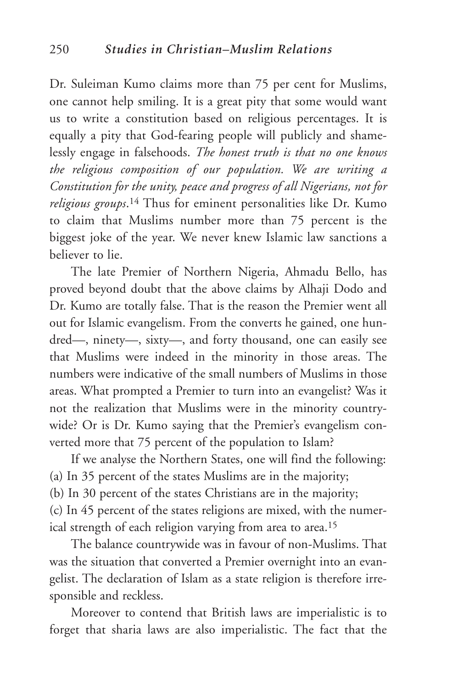Dr. Suleiman Kumo claims more than 75 per cent for Muslims, one cannot help smiling. It is a great pity that some would want us to write a constitution based on religious percentages. It is equally a pity that God-fearing people will publicly and shamelessly engage in falsehoods. *The honest truth is that no one knows the religious composition of our population. We are writing a Constitution for the unity, peace and progress of all Nigerians, not for religious groups*.14 Thus for eminent personalities like Dr. Kumo to claim that Muslims number more than 75 percent is the biggest joke of the year. We never knew Islamic law sanctions a believer to lie.

The late Premier of Northern Nigeria, Ahmadu Bello, has proved beyond doubt that the above claims by Alhaji Dodo and Dr. Kumo are totally false. That is the reason the Premier went all out for Islamic evangelism. From the converts he gained, one hundred—, ninety—, sixty—, and forty thousand, one can easily see that Muslims were indeed in the minority in those areas. The numbers were indicative of the small numbers of Muslims in those areas. What prompted a Premier to turn into an evangelist? Was it not the realization that Muslims were in the minority countrywide? Or is Dr. Kumo saying that the Premier's evangelism converted more that 75 percent of the population to Islam?

If we analyse the Northern States, one will find the following: (a) In 35 percent of the states Muslims are in the majority;

(b) In 30 percent of the states Christians are in the majority;

(c) In 45 percent of the states religions are mixed, with the numerical strength of each religion varying from area to area.15

The balance countrywide was in favour of non-Muslims. That was the situation that converted a Premier overnight into an evangelist. The declaration of Islam as a state religion is therefore irresponsible and reckless.

Moreover to contend that British laws are imperialistic is to forget that sharia laws are also imperialistic. The fact that the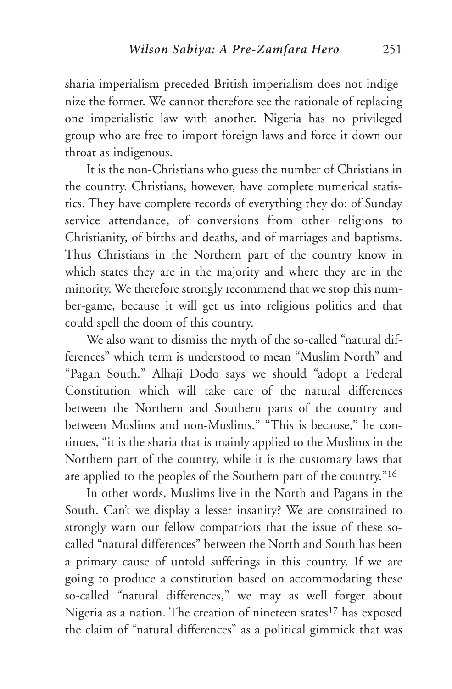sharia imperialism preceded British imperialism does not indigenize the former. We cannot therefore see the rationale of replacing one imperialistic law with another. Nigeria has no privileged group who are free to import foreign laws and force it down our throat as indigenous.

It is the non-Christians who guess the number of Christians in the country. Christians, however, have complete numerical statistics. They have complete records of everything they do: of Sunday service attendance, of conversions from other religions to Christianity, of births and deaths, and of marriages and baptisms. Thus Christians in the Northern part of the country know in which states they are in the majority and where they are in the minority. We therefore strongly recommend that we stop this number-game, because it will get us into religious politics and that could spell the doom of this country.

We also want to dismiss the myth of the so-called "natural differences" which term is understood to mean "Muslim North" and "Pagan South." Alhaji Dodo says we should "adopt a Federal Constitution which will take care of the natural differences between the Northern and Southern parts of the country and between Muslims and non-Muslims." "This is because," he continues, "it is the sharia that is mainly applied to the Muslims in the Northern part of the country, while it is the customary laws that are applied to the peoples of the Southern part of the country."16

In other words, Muslims live in the North and Pagans in the South. Can't we display a lesser insanity? We are constrained to strongly warn our fellow compatriots that the issue of these socalled "natural differences" between the North and South has been a primary cause of untold sufferings in this country. If we are going to produce a constitution based on accommodating these so-called "natural differences," we may as well forget about Nigeria as a nation. The creation of nineteen states<sup>17</sup> has exposed the claim of "natural differences" as a political gimmick that was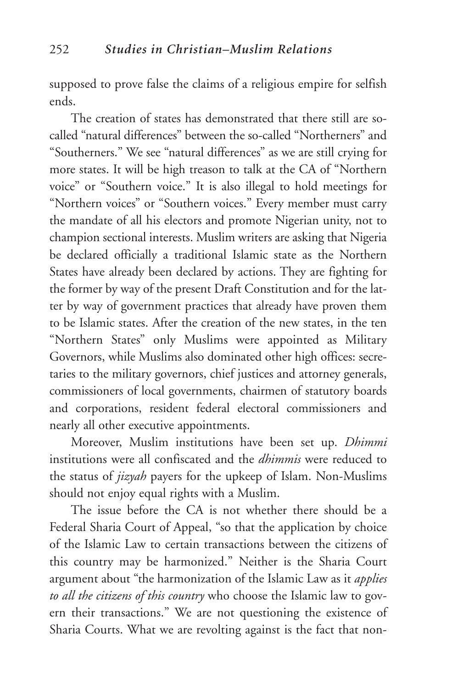supposed to prove false the claims of a religious empire for selfish ends.

The creation of states has demonstrated that there still are socalled "natural differences" between the so-called "Northerners" and "Southerners." We see "natural differences" as we are still crying for more states. It will be high treason to talk at the CA of "Northern voice" or "Southern voice." It is also illegal to hold meetings for "Northern voices" or "Southern voices." Every member must carry the mandate of all his electors and promote Nigerian unity, not to champion sectional interests. Muslim writers are asking that Nigeria be declared officially a traditional Islamic state as the Northern States have already been declared by actions. They are fighting for the former by way of the present Draft Constitution and for the latter by way of government practices that already have proven them to be Islamic states. After the creation of the new states, in the ten "Northern States" only Muslims were appointed as Military Governors, while Muslims also dominated other high offices: secretaries to the military governors, chief justices and attorney generals, commissioners of local governments, chairmen of statutory boards and corporations, resident federal electoral commissioners and nearly all other executive appointments.

Moreover, Muslim institutions have been set up. *Dhimmi* institutions were all confiscated and the *dhimmis* were reduced to the status of *jizyah* payers for the upkeep of Islam. Non-Muslims should not enjoy equal rights with a Muslim.

The issue before the CA is not whether there should be a Federal Sharia Court of Appeal, "so that the application by choice of the Islamic Law to certain transactions between the citizens of this country may be harmonized." Neither is the Sharia Court argument about "the harmonization of the Islamic Law as it *applies to all the citizens of this country* who choose the Islamic law to govern their transactions." We are not questioning the existence of Sharia Courts. What we are revolting against is the fact that non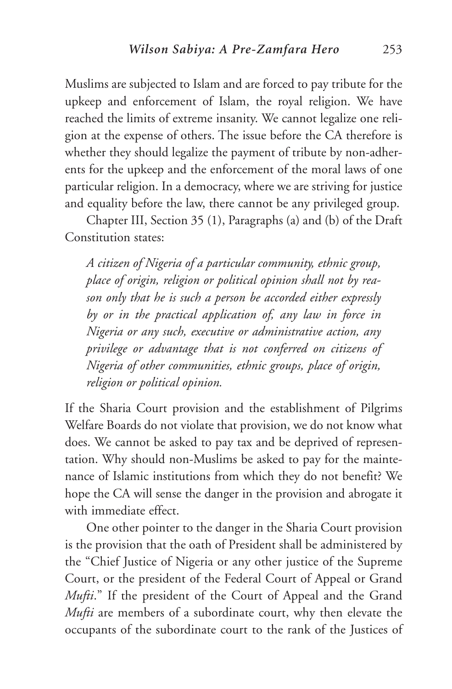Muslims are subjected to Islam and are forced to pay tribute for the upkeep and enforcement of Islam, the royal religion. We have reached the limits of extreme insanity. We cannot legalize one religion at the expense of others. The issue before the CA therefore is whether they should legalize the payment of tribute by non-adherents for the upkeep and the enforcement of the moral laws of one particular religion. In a democracy, where we are striving for justice and equality before the law, there cannot be any privileged group.

Chapter III, Section 35 (1), Paragraphs (a) and (b) of the Draft Constitution states:

*A citizen of Nigeria of a particular community, ethnic group, place of origin, religion or political opinion shall not by reason only that he is such a person be accorded either expressly by or in the practical application of, any law in force in Nigeria or any such, executive or administrative action, any privilege or advantage that is not conferred on citizens of Nigeria of other communities, ethnic groups, place of origin, religion or political opinion.*

If the Sharia Court provision and the establishment of Pilgrims Welfare Boards do not violate that provision, we do not know what does. We cannot be asked to pay tax and be deprived of representation. Why should non-Muslims be asked to pay for the maintenance of Islamic institutions from which they do not benefit? We hope the CA will sense the danger in the provision and abrogate it with immediate effect.

One other pointer to the danger in the Sharia Court provision is the provision that the oath of President shall be administered by the "Chief Justice of Nigeria or any other justice of the Supreme Court, or the president of the Federal Court of Appeal or Grand *Mufti*." If the president of the Court of Appeal and the Grand *Mufti* are members of a subordinate court, why then elevate the occupants of the subordinate court to the rank of the Justices of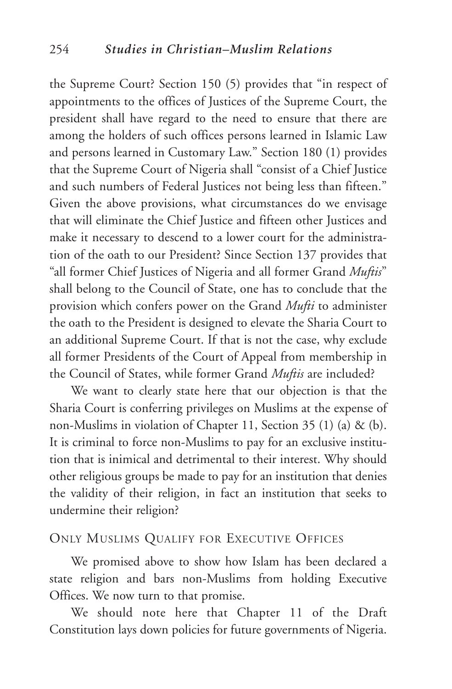the Supreme Court? Section 150 (5) provides that "in respect of appointments to the offices of Justices of the Supreme Court, the president shall have regard to the need to ensure that there are among the holders of such offices persons learned in Islamic Law and persons learned in Customary Law." Section 180 (1) provides that the Supreme Court of Nigeria shall "consist of a Chief Justice and such numbers of Federal Justices not being less than fifteen." Given the above provisions, what circumstances do we envisage that will eliminate the Chief Justice and fifteen other Justices and make it necessary to descend to a lower court for the administration of the oath to our President? Since Section 137 provides that "all former Chief Justices of Nigeria and all former Grand *Muftis*" shall belong to the Council of State, one has to conclude that the provision which confers power on the Grand *Mufti* to administer the oath to the President is designed to elevate the Sharia Court to an additional Supreme Court. If that is not the case, why exclude all former Presidents of the Court of Appeal from membership in the Council of States, while former Grand *Muftis* are included?

We want to clearly state here that our objection is that the Sharia Court is conferring privileges on Muslims at the expense of non-Muslims in violation of Chapter 11, Section 35 (1) (a) & (b). It is criminal to force non-Muslims to pay for an exclusive institution that is inimical and detrimental to their interest. Why should other religious groups be made to pay for an institution that denies the validity of their religion, in fact an institution that seeks to undermine their religion?

#### ONLY MUSLIMS QUALIFY FOR EXECUTIVE OFFICES

We promised above to show how Islam has been declared a state religion and bars non-Muslims from holding Executive Offices. We now turn to that promise.

We should note here that Chapter 11 of the Draft Constitution lays down policies for future governments of Nigeria.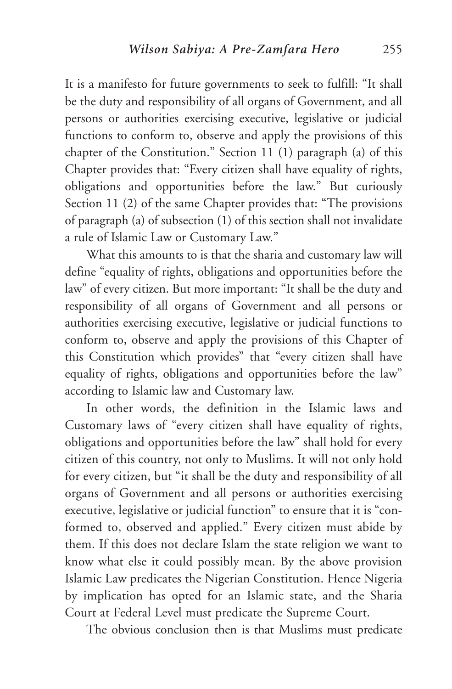It is a manifesto for future governments to seek to fulfill: "It shall be the duty and responsibility of all organs of Government, and all persons or authorities exercising executive, legislative or judicial functions to conform to, observe and apply the provisions of this chapter of the Constitution." Section 11 (1) paragraph (a) of this Chapter provides that: "Every citizen shall have equality of rights, obligations and opportunities before the law." But curiously Section 11 (2) of the same Chapter provides that: "The provisions of paragraph (a) of subsection (1) of this section shall not invalidate a rule of Islamic Law or Customary Law."

What this amounts to is that the sharia and customary law will define "equality of rights, obligations and opportunities before the law" of every citizen. But more important: "It shall be the duty and responsibility of all organs of Government and all persons or authorities exercising executive, legislative or judicial functions to conform to, observe and apply the provisions of this Chapter of this Constitution which provides" that "every citizen shall have equality of rights, obligations and opportunities before the law" according to Islamic law and Customary law.

In other words, the definition in the Islamic laws and Customary laws of "every citizen shall have equality of rights, obligations and opportunities before the law" shall hold for every citizen of this country, not only to Muslims. It will not only hold for every citizen, but "it shall be the duty and responsibility of all organs of Government and all persons or authorities exercising executive, legislative or judicial function" to ensure that it is "conformed to, observed and applied." Every citizen must abide by them. If this does not declare Islam the state religion we want to know what else it could possibly mean. By the above provision Islamic Law predicates the Nigerian Constitution. Hence Nigeria by implication has opted for an Islamic state, and the Sharia Court at Federal Level must predicate the Supreme Court.

The obvious conclusion then is that Muslims must predicate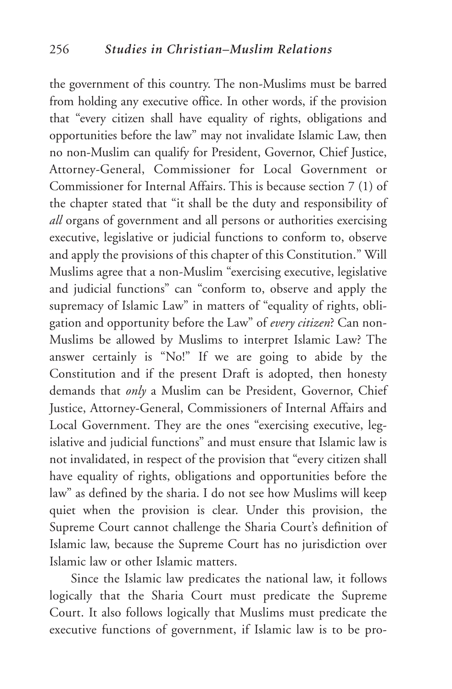the government of this country. The non-Muslims must be barred from holding any executive office. In other words, if the provision that "every citizen shall have equality of rights, obligations and opportunities before the law" may not invalidate Islamic Law, then no non-Muslim can qualify for President, Governor, Chief Justice, Attorney-General, Commissioner for Local Government or Commissioner for Internal Affairs. This is because section 7 (1) of the chapter stated that "it shall be the duty and responsibility of *all* organs of government and all persons or authorities exercising executive, legislative or judicial functions to conform to, observe and apply the provisions of this chapter of this Constitution." Will Muslims agree that a non-Muslim "exercising executive, legislative and judicial functions" can "conform to, observe and apply the supremacy of Islamic Law" in matters of "equality of rights, obligation and opportunity before the Law" of *every citizen*? Can non-Muslims be allowed by Muslims to interpret Islamic Law? The answer certainly is "No!" If we are going to abide by the Constitution and if the present Draft is adopted, then honesty demands that *only* a Muslim can be President, Governor, Chief Justice, Attorney-General, Commissioners of Internal Affairs and Local Government. They are the ones "exercising executive, legislative and judicial functions" and must ensure that Islamic law is not invalidated, in respect of the provision that "every citizen shall have equality of rights, obligations and opportunities before the law" as defined by the sharia. I do not see how Muslims will keep quiet when the provision is clear. Under this provision, the Supreme Court cannot challenge the Sharia Court's definition of Islamic law, because the Supreme Court has no jurisdiction over Islamic law or other Islamic matters.

Since the Islamic law predicates the national law, it follows logically that the Sharia Court must predicate the Supreme Court. It also follows logically that Muslims must predicate the executive functions of government, if Islamic law is to be pro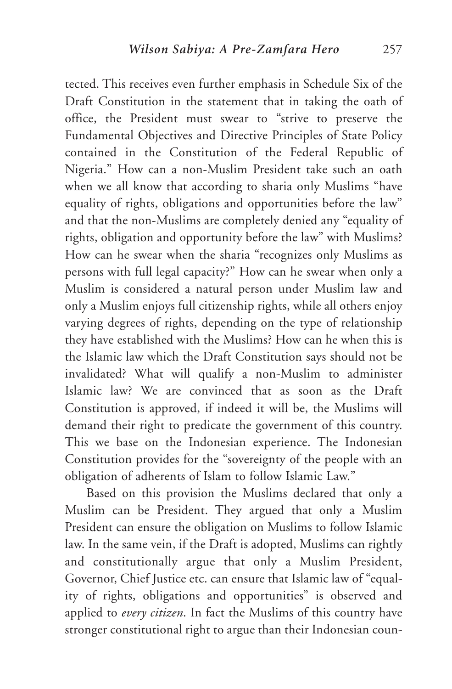tected. This receives even further emphasis in Schedule Six of the Draft Constitution in the statement that in taking the oath of office, the President must swear to "strive to preserve the Fundamental Objectives and Directive Principles of State Policy contained in the Constitution of the Federal Republic of Nigeria." How can a non-Muslim President take such an oath when we all know that according to sharia only Muslims "have equality of rights, obligations and opportunities before the law" and that the non-Muslims are completely denied any "equality of rights, obligation and opportunity before the law" with Muslims? How can he swear when the sharia "recognizes only Muslims as persons with full legal capacity?" How can he swear when only a Muslim is considered a natural person under Muslim law and only a Muslim enjoys full citizenship rights, while all others enjoy varying degrees of rights, depending on the type of relationship they have established with the Muslims? How can he when this is the Islamic law which the Draft Constitution says should not be invalidated? What will qualify a non-Muslim to administer Islamic law? We are convinced that as soon as the Draft Constitution is approved, if indeed it will be, the Muslims will demand their right to predicate the government of this country. This we base on the Indonesian experience. The Indonesian Constitution provides for the "sovereignty of the people with an obligation of adherents of Islam to follow Islamic Law."

Based on this provision the Muslims declared that only a Muslim can be President. They argued that only a Muslim President can ensure the obligation on Muslims to follow Islamic law. In the same vein, if the Draft is adopted, Muslims can rightly and constitutionally argue that only a Muslim President, Governor, Chief Justice etc. can ensure that Islamic law of "equality of rights, obligations and opportunities" is observed and applied to *every citizen*. In fact the Muslims of this country have stronger constitutional right to argue than their Indonesian coun-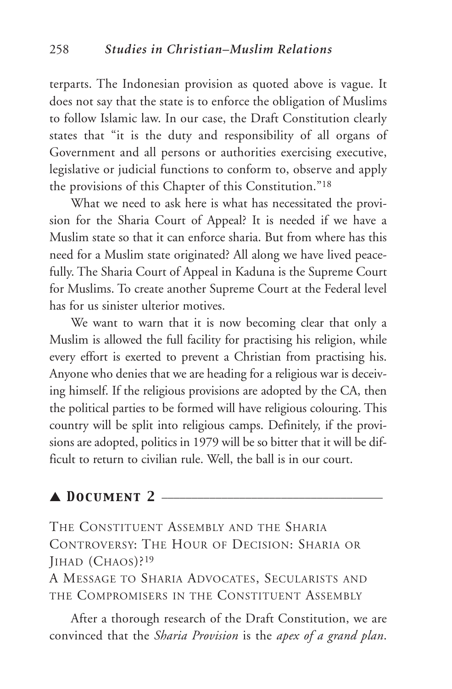terparts. The Indonesian provision as quoted above is vague. It does not say that the state is to enforce the obligation of Muslims to follow Islamic law. In our case, the Draft Constitution clearly states that "it is the duty and responsibility of all organs of Government and all persons or authorities exercising executive, legislative or judicial functions to conform to, observe and apply the provisions of this Chapter of this Constitution."18

What we need to ask here is what has necessitated the provision for the Sharia Court of Appeal? It is needed if we have a Muslim state so that it can enforce sharia. But from where has this need for a Muslim state originated? All along we have lived peacefully. The Sharia Court of Appeal in Kaduna is the Supreme Court for Muslims. To create another Supreme Court at the Federal level has for us sinister ulterior motives.

We want to warn that it is now becoming clear that only a Muslim is allowed the full facility for practising his religion, while every effort is exerted to prevent a Christian from practising his. Anyone who denies that we are heading for a religious war is deceiving himself. If the religious provisions are adopted by the CA, then the political parties to be formed will have religious colouring. This country will be split into religious camps. Definitely, if the provisions are adopted, politics in 1979 will be so bitter that it will be difficult to return to civilian rule. Well, the ball is in our court.

#### ▲ *Document 2* \_\_\_\_\_\_\_\_\_\_\_\_\_\_\_\_\_\_\_\_\_\_\_\_\_\_\_\_\_\_\_\_\_\_\_\_\_

THE CONSTITUENT ASSEMBLY AND THE SHARIA CONTROVERSY: THE HOUR OF DECISION: SHARIA OR JIHAD (CHAOS)?19

A MESSAGE TO SHARIA ADVOCATES, SECULARISTS AND THE COMPROMISERS IN THE CONSTITUENT ASSEMBLY

After a thorough research of the Draft Constitution, we are convinced that the *Sharia Provision* is the *apex of a grand plan*.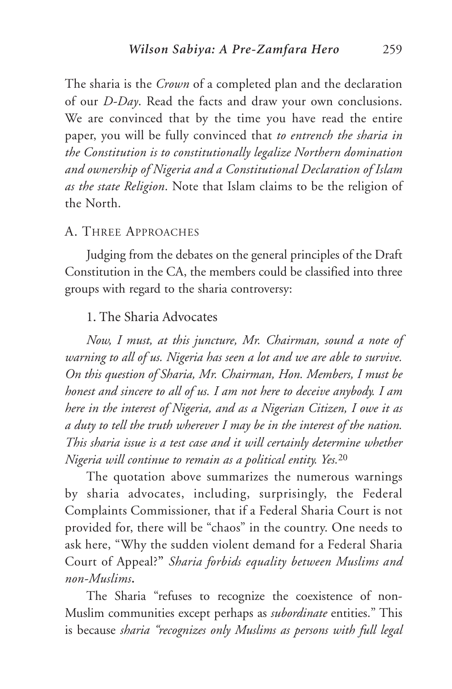The sharia is the *Crown* of a completed plan and the declaration of our *D-Day*. Read the facts and draw your own conclusions. We are convinced that by the time you have read the entire paper, you will be fully convinced that *to entrench the sharia in the Constitution is to constitutionally legalize Northern domination and ownership of Nigeria and a Constitutional Declaration of Islam as the state Religion*. Note that Islam claims to be the religion of the North.

#### A. THREE APPROACHES

Judging from the debates on the general principles of the Draft Constitution in the CA, the members could be classified into three groups with regard to the sharia controversy:

### 1. The Sharia Advocates

*Now, I must, at this juncture, Mr. Chairman, sound a note of warning to all of us. Nigeria has seen a lot and we are able to survive. On this question of Sharia, Mr. Chairman, Hon. Members, I must be honest and sincere to all of us. I am not here to deceive anybody. I am here in the interest of Nigeria, and as a Nigerian Citizen, I owe it as a duty to tell the truth wherever I may be in the interest of the nation. This sharia issue is a test case and it will certainly determine whether Nigeria will continue to remain as a political entity. Yes.*<sup>20</sup>

The quotation above summarizes the numerous warnings by sharia advocates, including, surprisingly, the Federal Complaints Commissioner, that if a Federal Sharia Court is not provided for, there will be "chaos" in the country. One needs to ask here, "Why the sudden violent demand for a Federal Sharia Court of Appeal?**"** *Sharia forbids equality between Muslims and non-Muslims***.**

The Sharia "refuses to recognize the coexistence of non-Muslim communities except perhaps as *subordinate* entities." This is because *sharia "recognizes only Muslims as persons with full legal*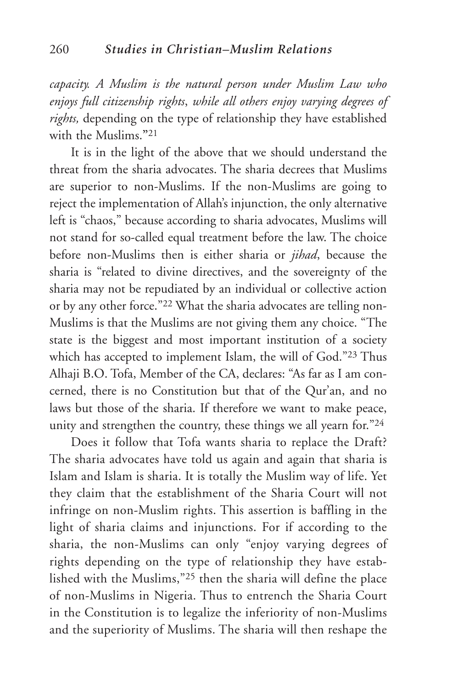*capacity. A Muslim is the natural person under Muslim Law who enjoys full citizenship rights*, *while all others enjoy varying degrees of rights,* depending on the type of relationship they have established with the Muslims.**"**<sup>21</sup>

It is in the light of the above that we should understand the threat from the sharia advocates. The sharia decrees that Muslims are superior to non-Muslims. If the non-Muslims are going to reject the implementation of Allah's injunction, the only alternative left is "chaos," because according to sharia advocates, Muslims will not stand for so-called equal treatment before the law. The choice before non-Muslims then is either sharia or *jihad*, because the sharia is "related to divine directives, and the sovereignty of the sharia may not be repudiated by an individual or collective action or by any other force."22 What the sharia advocates are telling non-Muslims is that the Muslims are not giving them any choice. "The state is the biggest and most important institution of a society which has accepted to implement Islam, the will of God."23 Thus Alhaji B.O. Tofa, Member of the CA, declares: "As far as I am concerned, there is no Constitution but that of the Qur'an, and no laws but those of the sharia. If therefore we want to make peace, unity and strengthen the country, these things we all yearn for."24

Does it follow that Tofa wants sharia to replace the Draft? The sharia advocates have told us again and again that sharia is Islam and Islam is sharia. It is totally the Muslim way of life. Yet they claim that the establishment of the Sharia Court will not infringe on non-Muslim rights. This assertion is baffling in the light of sharia claims and injunctions. For if according to the sharia, the non-Muslims can only "enjoy varying degrees of rights depending on the type of relationship they have established with the Muslims,"25 then the sharia will define the place of non-Muslims in Nigeria. Thus to entrench the Sharia Court in the Constitution is to legalize the inferiority of non-Muslims and the superiority of Muslims. The sharia will then reshape the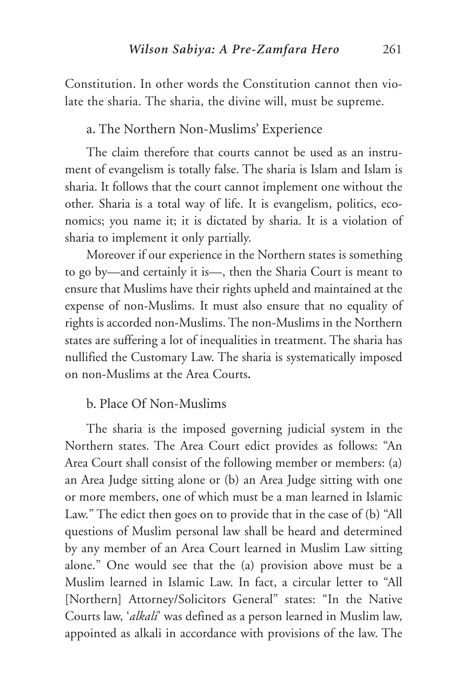Constitution. In other words the Constitution cannot then violate the sharia. The sharia, the divine will, must be supreme.

#### a. The Northern Non-Muslims' Experience

The claim therefore that courts cannot be used as an instrument of evangelism is totally false. The sharia is Islam and Islam is sharia. It follows that the court cannot implement one without the other. Sharia is a total way of life. It is evangelism, politics, economics; you name it; it is dictated by sharia. It is a violation of sharia to implement it only partially.

Moreover if our experience in the Northern states is something to go by—and certainly it is—, then the Sharia Court is meant to ensure that Muslims have their rights upheld and maintained at the expense of non-Muslims. It must also ensure that no equality of rights is accorded non-Muslims. The non-Muslims in the Northern states are suffering a lot of inequalities in treatment. The sharia has nullified the Customary Law. The sharia is systematically imposed on non-Muslims at the Area Courts**.**

#### b. Place Of Non-Muslims

The sharia is the imposed governing judicial system in the Northern states. The Area Court edict provides as follows: "An Area Court shall consist of the following member or members: (a) an Area Judge sitting alone or (b) an Area Judge sitting with one or more members, one of which must be a man learned in Islamic Law." The edict then goes on to provide that in the case of (b) "All questions of Muslim personal law shall be heard and determined by any member of an Area Court learned in Muslim Law sitting alone." One would see that the (a) provision above must be a Muslim learned in Islamic Law. In fact, a circular letter to "All [Northern] Attorney/Solicitors General" states: "In the Native Courts law, '*alkali*' was defined as a person learned in Muslim law, appointed as alkali in accordance with provisions of the law. The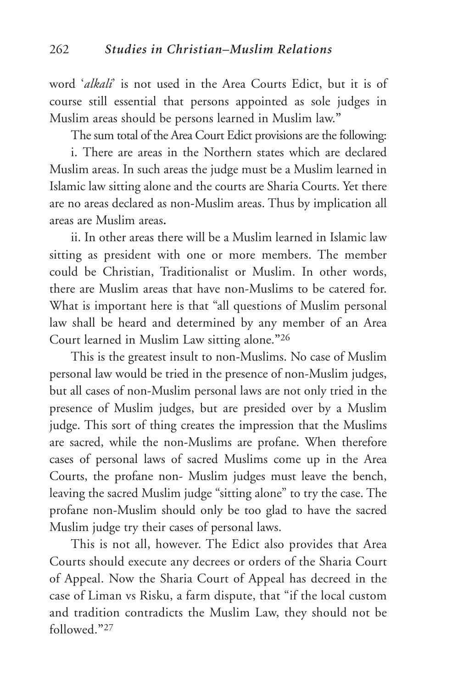word '*alkali*' is not used in the Area Courts Edict, but it is of course still essential that persons appointed as sole judges in Muslim areas should be persons learned in Muslim law.**"**

The sum total of the Area Court Edict provisions are the following: i. There are areas in the Northern states which are declared Muslim areas. In such areas the judge must be a Muslim learned in Islamic law sitting alone and the courts are Sharia Courts. Yet there are no areas declared as non-Muslim areas. Thus by implication all areas are Muslim areas**.**

ii. In other areas there will be a Muslim learned in Islamic law sitting as president with one or more members. The member could be Christian, Traditionalist or Muslim. In other words, there are Muslim areas that have non-Muslims to be catered for. What is important here is that "all questions of Muslim personal law shall be heard and determined by any member of an Area Court learned in Muslim Law sitting alone.**"**<sup>26</sup>

This is the greatest insult to non-Muslims. No case of Muslim personal law would be tried in the presence of non-Muslim judges, but all cases of non-Muslim personal laws are not only tried in the presence of Muslim judges, but are presided over by a Muslim judge. This sort of thing creates the impression that the Muslims are sacred, while the non-Muslims are profane. When therefore cases of personal laws of sacred Muslims come up in the Area Courts, the profane non- Muslim judges must leave the bench, leaving the sacred Muslim judge "sitting alone" to try the case. The profane non-Muslim should only be too glad to have the sacred Muslim judge try their cases of personal laws.

This is not all, however. The Edict also provides that Area Courts should execute any decrees or orders of the Sharia Court of Appeal. Now the Sharia Court of Appeal has decreed in the case of Liman vs Risku, a farm dispute, that "if the local custom and tradition contradicts the Muslim Law, they should not be followed.**"**<sup>27</sup>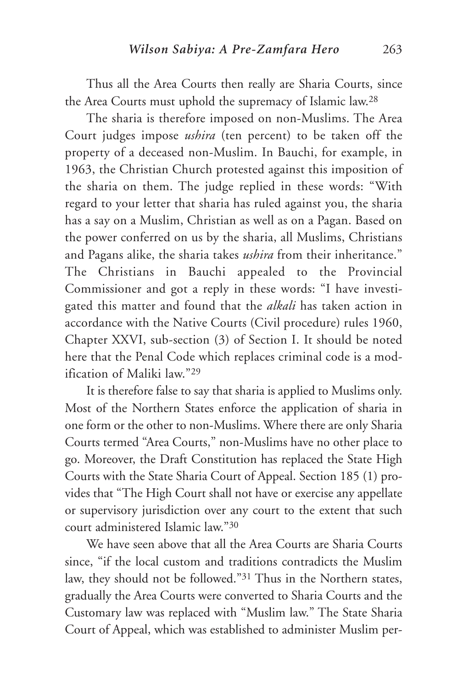Thus all the Area Courts then really are Sharia Courts, since the Area Courts must uphold the supremacy of Islamic law.28

The sharia is therefore imposed on non-Muslims. The Area Court judges impose *ushira* (ten percent) to be taken off the property of a deceased non-Muslim. In Bauchi, for example, in 1963, the Christian Church protested against this imposition of the sharia on them. The judge replied in these words: "With regard to your letter that sharia has ruled against you, the sharia has a say on a Muslim, Christian as well as on a Pagan. Based on the power conferred on us by the sharia, all Muslims, Christians and Pagans alike, the sharia takes *ushira* from their inheritance." The Christians in Bauchi appealed to the Provincial Commissioner and got a reply in these words: "I have investigated this matter and found that the *alkali* has taken action in accordance with the Native Courts (Civil procedure) rules 1960, Chapter XXVI, sub-section (3) of Section I. It should be noted here that the Penal Code which replaces criminal code is a modification of Maliki law."29

It is therefore false to say that sharia is applied to Muslims only. Most of the Northern States enforce the application of sharia in one form or the other to non-Muslims. Where there are only Sharia Courts termed "Area Courts," non-Muslims have no other place to go. Moreover, the Draft Constitution has replaced the State High Courts with the State Sharia Court of Appeal. Section 185 (1) provides that "The High Court shall not have or exercise any appellate or supervisory jurisdiction over any court to the extent that such court administered Islamic law."30

We have seen above that all the Area Courts are Sharia Courts since, "if the local custom and traditions contradicts the Muslim law, they should not be followed."31 Thus in the Northern states, gradually the Area Courts were converted to Sharia Courts and the Customary law was replaced with "Muslim law." The State Sharia Court of Appeal, which was established to administer Muslim per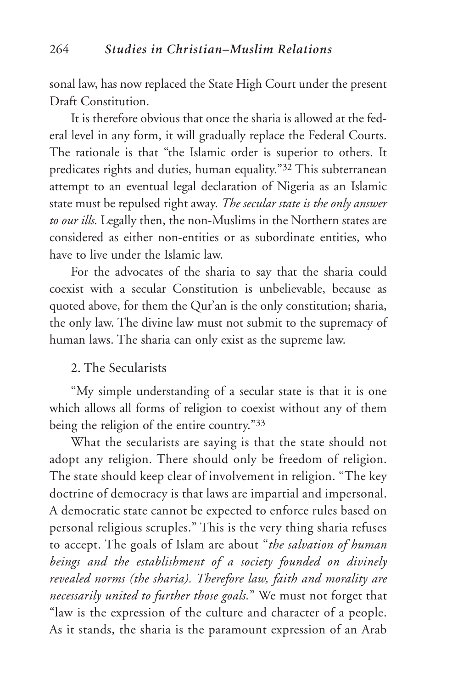sonal law, has now replaced the State High Court under the present Draft Constitution.

It is therefore obvious that once the sharia is allowed at the federal level in any form, it will gradually replace the Federal Courts. The rationale is that "the Islamic order is superior to others. It predicates rights and duties, human equality."32 This subterranean attempt to an eventual legal declaration of Nigeria as an Islamic state must be repulsed right away. *The secular state is the only answer to our ills.* Legally then, the non-Muslims in the Northern states are considered as either non-entities or as subordinate entities, who have to live under the Islamic law.

For the advocates of the sharia to say that the sharia could coexist with a secular Constitution is unbelievable, because as quoted above, for them the Qur'an is the only constitution; sharia, the only law. The divine law must not submit to the supremacy of human laws. The sharia can only exist as the supreme law.

#### 2. The Secularists

"My simple understanding of a secular state is that it is one which allows all forms of religion to coexist without any of them being the religion of the entire country."33

What the secularists are saying is that the state should not adopt any religion. There should only be freedom of religion. The state should keep clear of involvement in religion. "The key doctrine of democracy is that laws are impartial and impersonal. A democratic state cannot be expected to enforce rules based on personal religious scruples." This is the very thing sharia refuses to accept. The goals of Islam are about "*the salvation of human beings and the establishment of a society founded on divinely revealed norms (the sharia). Therefore law, faith and morality are necessarily united to further those goals.*" We must not forget that "law is the expression of the culture and character of a people. As it stands, the sharia is the paramount expression of an Arab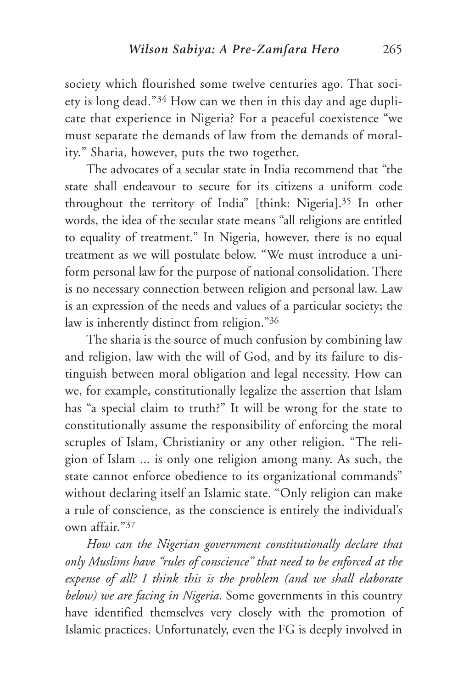society which flourished some twelve centuries ago. That society is long dead."34 How can we then in this day and age duplicate that experience in Nigeria? For a peaceful coexistence "we must separate the demands of law from the demands of morality." Sharia, however, puts the two together.

The advocates of a secular state in India recommend that "the state shall endeavour to secure for its citizens a uniform code throughout the territory of India" [think: Nigeria].35 In other words, the idea of the secular state means "all religions are entitled to equality of treatment." In Nigeria, however, there is no equal treatment as we will postulate below. "We must introduce a uniform personal law for the purpose of national consolidation. There is no necessary connection between religion and personal law. Law is an expression of the needs and values of a particular society; the law is inherently distinct from religion."36

The sharia is the source of much confusion by combining law and religion, law with the will of God, and by its failure to distinguish between moral obligation and legal necessity. How can we, for example, constitutionally legalize the assertion that Islam has "a special claim to truth?" It will be wrong for the state to constitutionally assume the responsibility of enforcing the moral scruples of Islam, Christianity or any other religion. "The religion of Islam ... is only one religion among many. As such, the state cannot enforce obedience to its organizational commands" without declaring itself an Islamic state. "Only religion can make a rule of conscience, as the conscience is entirely the individual's own affair."37

*How can the Nigerian government constitutionally declare that only Muslims have "rules of conscience" that need to be enforced at the expense of all? I think this is the problem (and we shall elaborate below) we are facing in Nigeria*. Some governments in this country have identified themselves very closely with the promotion of Islamic practices. Unfortunately, even the FG is deeply involved in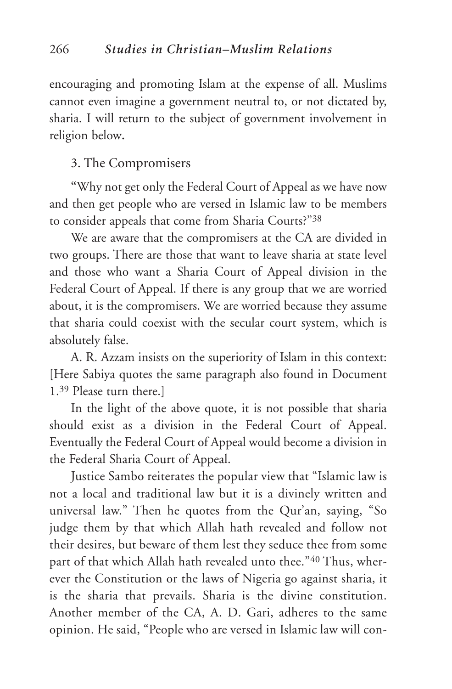encouraging and promoting Islam at the expense of all. Muslims cannot even imagine a government neutral to, or not dictated by, sharia. I will return to the subject of government involvement in religion below**.**

#### 3. The Compromisers

**"**Why not get only the Federal Court of Appeal as we have now and then get people who are versed in Islamic law to be members to consider appeals that come from Sharia Courts?"38

We are aware that the compromisers at the CA are divided in two groups. There are those that want to leave sharia at state level and those who want a Sharia Court of Appeal division in the Federal Court of Appeal. If there is any group that we are worried about, it is the compromisers. We are worried because they assume that sharia could coexist with the secular court system, which is absolutely false.

A. R. Azzam insists on the superiority of Islam in this context: [Here Sabiya quotes the same paragraph also found in Document 1.39 Please turn there.]

In the light of the above quote, it is not possible that sharia should exist as a division in the Federal Court of Appeal. Eventually the Federal Court of Appeal would become a division in the Federal Sharia Court of Appeal.

Justice Sambo reiterates the popular view that "Islamic law is not a local and traditional law but it is a divinely written and universal law." Then he quotes from the Qur'an, saying, "So judge them by that which Allah hath revealed and follow not their desires, but beware of them lest they seduce thee from some part of that which Allah hath revealed unto thee."40 Thus, wherever the Constitution or the laws of Nigeria go against sharia, it is the sharia that prevails. Sharia is the divine constitution. Another member of the CA, A. D. Gari, adheres to the same opinion. He said, "People who are versed in Islamic law will con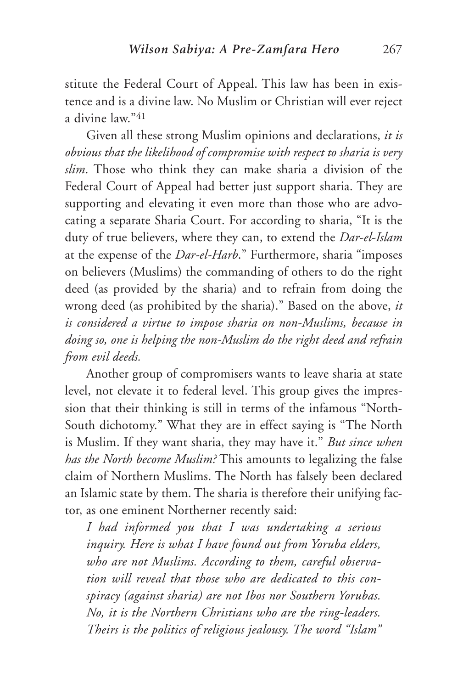stitute the Federal Court of Appeal. This law has been in existence and is a divine law. No Muslim or Christian will ever reject a divine law."41

Given all these strong Muslim opinions and declarations, *it is obvious that the likelihood of compromise with respect to sharia is very slim*. Those who think they can make sharia a division of the Federal Court of Appeal had better just support sharia. They are supporting and elevating it even more than those who are advocating a separate Sharia Court. For according to sharia, "It is the duty of true believers, where they can, to extend the *Dar-el-Islam* at the expense of the *Dar-el-Harb*." Furthermore, sharia "imposes on believers (Muslims) the commanding of others to do the right deed (as provided by the sharia) and to refrain from doing the wrong deed (as prohibited by the sharia)." Based on the above, *it is considered a virtue to impose sharia on non-Muslims, because in doing so, one is helping the non-Muslim do the right deed and refrain from evil deeds.*

Another group of compromisers wants to leave sharia at state level, not elevate it to federal level. This group gives the impression that their thinking is still in terms of the infamous "North-South dichotomy." What they are in effect saying is "The North is Muslim. If they want sharia, they may have it." *But since when has the North become Muslim?* This amounts to legalizing the false claim of Northern Muslims. The North has falsely been declared an Islamic state by them. The sharia is therefore their unifying factor, as one eminent Northerner recently said:

*I had informed you that I was undertaking a serious inquiry. Here is what I have found out from Yoruba elders, who are not Muslims. According to them, careful observation will reveal that those who are dedicated to this conspiracy (against sharia) are not Ibos nor Southern Yorubas. No, it is the Northern Christians who are the ring-leaders. Theirs is the politics of religious jealousy. The word "Islam"*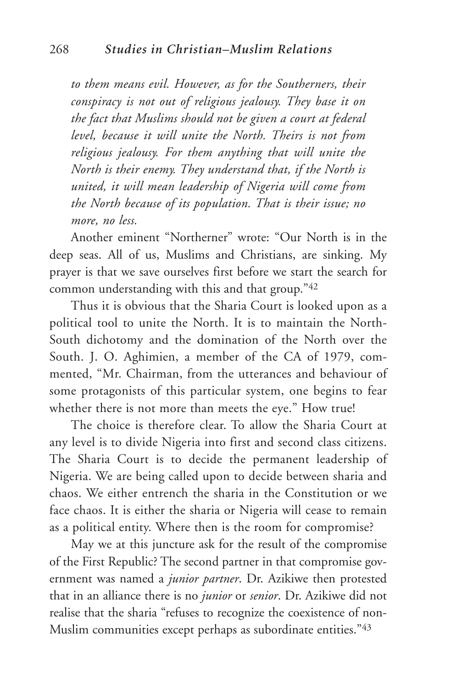*to them means evil. However, as for the Southerners, their conspiracy is not out of religious jealousy. They base it on the fact that Muslims should not be given a court at federal level, because it will unite the North. Theirs is not from religious jealousy. For them anything that will unite the North is their enemy. They understand that, if the North is united, it will mean leadership of Nigeria will come from the North because of its population. That is their issue; no more, no less.*

Another eminent "Northerner" wrote: "Our North is in the deep seas. All of us, Muslims and Christians, are sinking. My prayer is that we save ourselves first before we start the search for common understanding with this and that group."42

Thus it is obvious that the Sharia Court is looked upon as a political tool to unite the North. It is to maintain the North-South dichotomy and the domination of the North over the South. J. O. Aghimien, a member of the CA of 1979, commented, "Mr. Chairman, from the utterances and behaviour of some protagonists of this particular system, one begins to fear whether there is not more than meets the eye." How true!

The choice is therefore clear. To allow the Sharia Court at any level is to divide Nigeria into first and second class citizens. The Sharia Court is to decide the permanent leadership of Nigeria. We are being called upon to decide between sharia and chaos. We either entrench the sharia in the Constitution or we face chaos. It is either the sharia or Nigeria will cease to remain as a political entity. Where then is the room for compromise?

May we at this juncture ask for the result of the compromise of the First Republic? The second partner in that compromise government was named a *junior partner*. Dr. Azikiwe then protested that in an alliance there is no *junior* or *senior*. Dr. Azikiwe did not realise that the sharia "refuses to recognize the coexistence of non-Muslim communities except perhaps as subordinate entities."43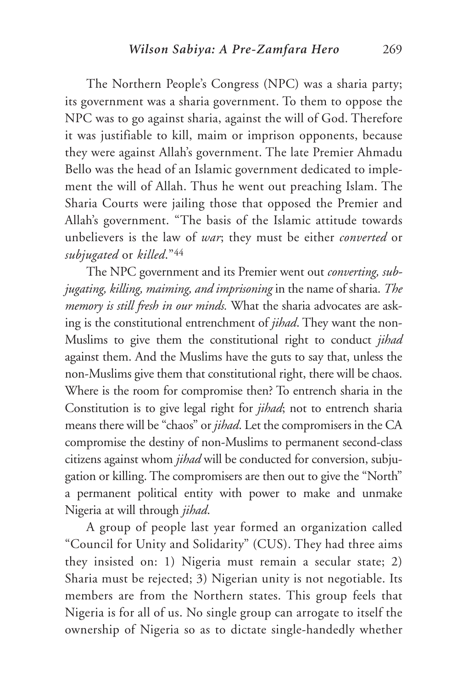The Northern People's Congress (NPC) was a sharia party; its government was a sharia government. To them to oppose the NPC was to go against sharia, against the will of God. Therefore it was justifiable to kill, maim or imprison opponents, because they were against Allah's government. The late Premier Ahmadu Bello was the head of an Islamic government dedicated to implement the will of Allah. Thus he went out preaching Islam. The Sharia Courts were jailing those that opposed the Premier and Allah's government. "The basis of the Islamic attitude towards unbelievers is the law of *war*; they must be either *converted* or *subjugated* or *killed*."44

The NPC government and its Premier went out *converting, subjugating, killing, maiming, and imprisoning* in the name of sharia. *The memory is still fresh in our minds.* What the sharia advocates are asking is the constitutional entrenchment of *jihad*. They want the non-Muslims to give them the constitutional right to conduct *jihad* against them. And the Muslims have the guts to say that, unless the non-Muslims give them that constitutional right, there will be chaos. Where is the room for compromise then? To entrench sharia in the Constitution is to give legal right for *jihad*; not to entrench sharia means there will be "chaos" or *jihad*. Let the compromisers in the CA compromise the destiny of non-Muslims to permanent second-class citizens against whom *jihad* will be conducted for conversion, subjugation or killing. The compromisers are then out to give the "North" a permanent political entity with power to make and unmake Nigeria at will through *jihad*.

A group of people last year formed an organization called "Council for Unity and Solidarity" (CUS). They had three aims they insisted on: 1) Nigeria must remain a secular state; 2) Sharia must be rejected; 3) Nigerian unity is not negotiable. Its members are from the Northern states. This group feels that Nigeria is for all of us. No single group can arrogate to itself the ownership of Nigeria so as to dictate single-handedly whether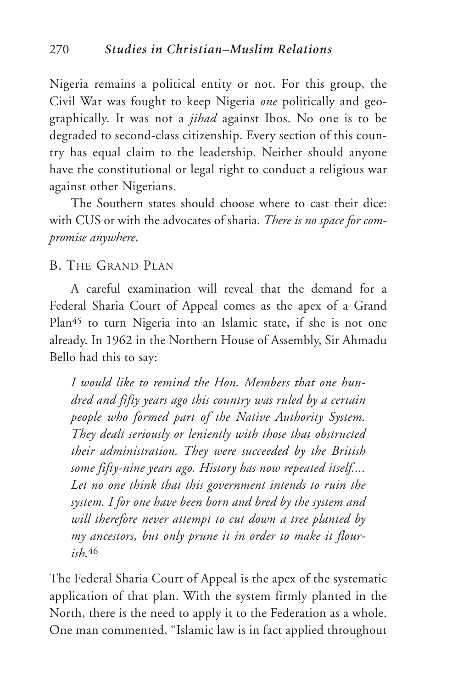Nigeria remains a political entity or not. For this group, the Civil War was fought to keep Nigeria *one* politically and geographically. It was not a *jihad* against Ibos. No one is to be degraded to second-class citizenship. Every section of this country has equal claim to the leadership. Neither should anyone have the constitutional or legal right to conduct a religious war against other Nigerians.

The Southern states should choose where to cast their dice: with CUS or with the advocates of sharia. *There is no space for compromise anywhere.*

#### B. THE GRAND PLAN

A careful examination will reveal that the demand for a Federal Sharia Court of Appeal comes as the apex of a Grand Plan<sup>45</sup> to turn Nigeria into an Islamic state, if she is not one already. In 1962 in the Northern House of Assembly, Sir Ahmadu Bello had this to say:

*I would like to remind the Hon. Members that one hundred and fifty years ago this country was ruled by a certain people who formed part of the Native Authority System. They dealt seriously or leniently with those that obstructed their administration. They were succeeded by the British some fifty-nine years ago. History has now repeated itself.... Let no one think that this government intends to ruin the system. I for one have been born and bred by the system and will therefore never attempt to cut down a tree planted by my ancestors, but only prune it in order to make it flourish.*<sup>46</sup>

The Federal Sharia Court of Appeal is the apex of the systematic application of that plan. With the system firmly planted in the North, there is the need to apply it to the Federation as a whole. One man commented, "Islamic law is in fact applied throughout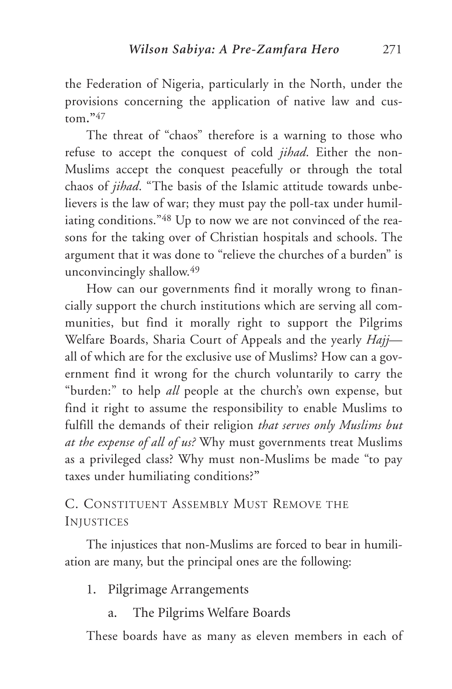the Federation of Nigeria, particularly in the North, under the provisions concerning the application of native law and custom**."**<sup>47</sup>

The threat of "chaos" therefore is a warning to those who refuse to accept the conquest of cold *jihad*. Either the non-Muslims accept the conquest peacefully or through the total chaos of *jihad*. "The basis of the Islamic attitude towards unbelievers is the law of war; they must pay the poll-tax under humiliating conditions."<sup>48</sup> Up to now we are not convinced of the reasons for the taking over of Christian hospitals and schools. The argument that it was done to "relieve the churches of a burden" is unconvincingly shallow.49

How can our governments find it morally wrong to financially support the church institutions which are serving all communities, but find it morally right to support the Pilgrims Welfare Boards, Sharia Court of Appeals and the yearly *Hajj* all of which are for the exclusive use of Muslims? How can a government find it wrong for the church voluntarily to carry the "burden:" to help *all* people at the church's own expense, but find it right to assume the responsibility to enable Muslims to fulfill the demands of their religion *that serves only Muslims but at the expense of all of us?* Why must governments treat Muslims as a privileged class? Why must non-Muslims be made "to pay taxes under humiliating conditions?**"**

## C. CONSTITUENT ASSEMBLY MUST REMOVE THE **INJUSTICES**

The injustices that non-Muslims are forced to bear in humiliation are many, but the principal ones are the following:

- 1. Pilgrimage Arrangements
	- a. The Pilgrims Welfare Boards

These boards have as many as eleven members in each of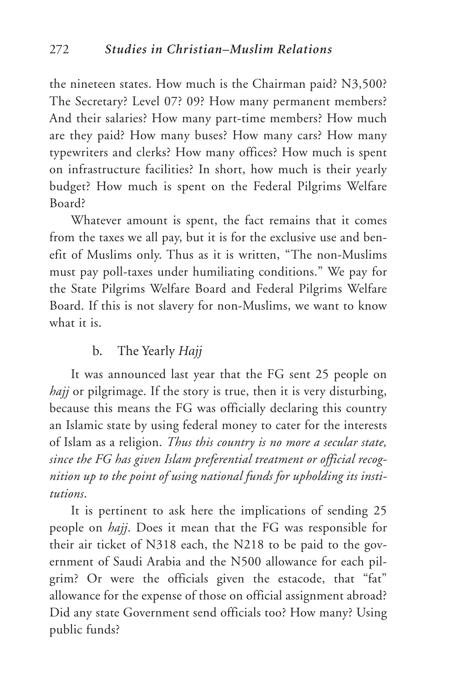the nineteen states. How much is the Chairman paid? N3,500? The Secretary? Level 07? 09? How many permanent members? And their salaries? How many part-time members? How much are they paid? How many buses? How many cars? How many typewriters and clerks? How many offices? How much is spent on infrastructure facilities? In short, how much is their yearly budget? How much is spent on the Federal Pilgrims Welfare Board?

Whatever amount is spent, the fact remains that it comes from the taxes we all pay, but it is for the exclusive use and benefit of Muslims only. Thus as it is written, "The non-Muslims must pay poll-taxes under humiliating conditions." We pay for the State Pilgrims Welfare Board and Federal Pilgrims Welfare Board. If this is not slavery for non-Muslims, we want to know what it is.

#### b. The Yearly *Hajj*

It was announced last year that the FG sent 25 people on *hajj* or pilgrimage. If the story is true, then it is very disturbing, because this means the FG was officially declaring this country an Islamic state by using federal money to cater for the interests of Islam as a religion. *Thus this country is no more a secular state, since the FG has given Islam preferential treatment or official recognition up to the point of using national funds for upholding its institutions*.

It is pertinent to ask here the implications of sending 25 people on *hajj*. Does it mean that the FG was responsible for their air ticket of N318 each, the N218 to be paid to the government of Saudi Arabia and the N500 allowance for each pilgrim? Or were the officials given the estacode, that "fat" allowance for the expense of those on official assignment abroad? Did any state Government send officials too? How many? Using public funds?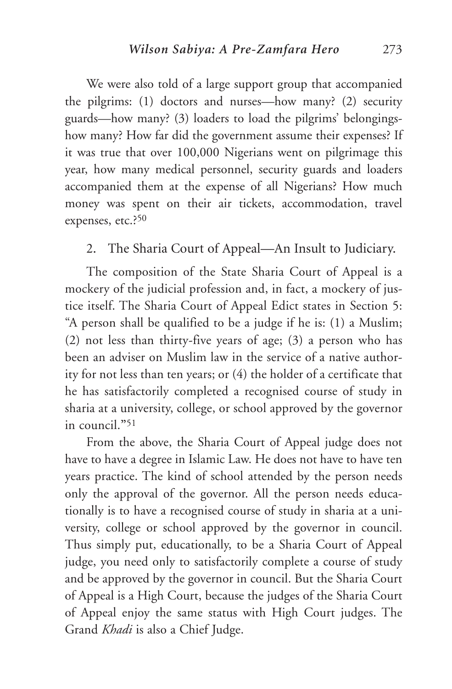We were also told of a large support group that accompanied the pilgrims: (1) doctors and nurses—how many? (2) security guards—how many? (3) loaders to load the pilgrims' belongingshow many? How far did the government assume their expenses? If it was true that over 100,000 Nigerians went on pilgrimage this year, how many medical personnel, security guards and loaders accompanied them at the expense of all Nigerians? How much money was spent on their air tickets, accommodation, travel expenses, etc.?50

2. The Sharia Court of Appeal—An Insult to Judiciary.

The composition of the State Sharia Court of Appeal is a mockery of the judicial profession and, in fact, a mockery of justice itself. The Sharia Court of Appeal Edict states in Section 5: "A person shall be qualified to be a judge if he is: (1) a Muslim; (2) not less than thirty-five years of age; (3) a person who has been an adviser on Muslim law in the service of a native authority for not less than ten years; or (4) the holder of a certificate that he has satisfactorily completed a recognised course of study in sharia at a university, college, or school approved by the governor in council.**"**<sup>51</sup>

From the above, the Sharia Court of Appeal judge does not have to have a degree in Islamic Law. He does not have to have ten years practice. The kind of school attended by the person needs only the approval of the governor. All the person needs educationally is to have a recognised course of study in sharia at a university, college or school approved by the governor in council. Thus simply put, educationally, to be a Sharia Court of Appeal judge, you need only to satisfactorily complete a course of study and be approved by the governor in council. But the Sharia Court of Appeal is a High Court, because the judges of the Sharia Court of Appeal enjoy the same status with High Court judges. The Grand *Khadi* is also a Chief Judge.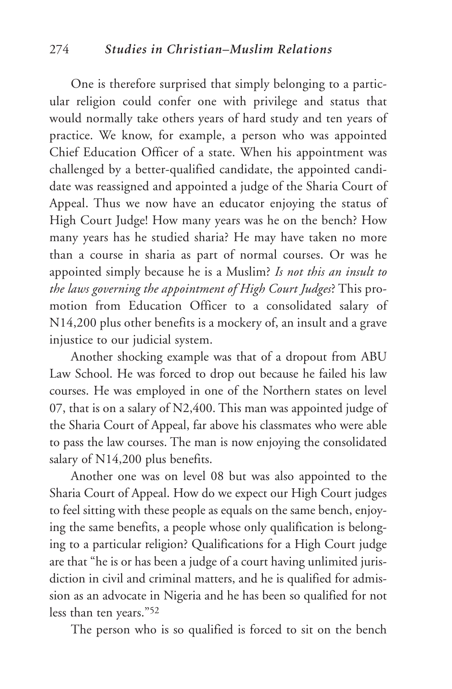#### 274 *Studies in Christian–Muslim Relations*

One is therefore surprised that simply belonging to a particular religion could confer one with privilege and status that would normally take others years of hard study and ten years of practice. We know, for example, a person who was appointed Chief Education Officer of a state. When his appointment was challenged by a better-qualified candidate, the appointed candidate was reassigned and appointed a judge of the Sharia Court of Appeal. Thus we now have an educator enjoying the status of High Court Judge! How many years was he on the bench? How many years has he studied sharia? He may have taken no more than a course in sharia as part of normal courses. Or was he appointed simply because he is a Muslim? *Is not this an insult to the laws governing the appointment of High Court Judges*? This promotion from Education Officer to a consolidated salary of N14,200 plus other benefits is a mockery of, an insult and a grave injustice to our judicial system.

Another shocking example was that of a dropout from ABU Law School. He was forced to drop out because he failed his law courses. He was employed in one of the Northern states on level 07, that is on a salary of N2,400. This man was appointed judge of the Sharia Court of Appeal, far above his classmates who were able to pass the law courses. The man is now enjoying the consolidated salary of N14,200 plus benefits.

Another one was on level 08 but was also appointed to the Sharia Court of Appeal. How do we expect our High Court judges to feel sitting with these people as equals on the same bench, enjoying the same benefits, a people whose only qualification is belonging to a particular religion? Qualifications for a High Court judge are that "he is or has been a judge of a court having unlimited jurisdiction in civil and criminal matters, and he is qualified for admission as an advocate in Nigeria and he has been so qualified for not less than ten years."52

The person who is so qualified is forced to sit on the bench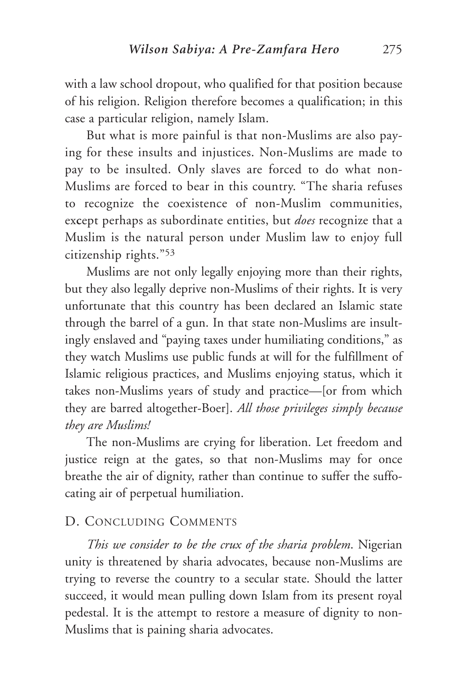with a law school dropout, who qualified for that position because of his religion. Religion therefore becomes a qualification; in this case a particular religion, namely Islam.

But what is more painful is that non-Muslims are also paying for these insults and injustices. Non-Muslims are made to pay to be insulted. Only slaves are forced to do what non-Muslims are forced to bear in this country. "The sharia refuses to recognize the coexistence of non-Muslim communities, ex**c**ept perhaps as subordinate entities, but *does* recognize that a Muslim is the natural person under Muslim law to enjoy full citizenship rights."53

Muslims are not only legally enjoying more than their rights, but they also legally deprive non-Muslims of their rights. It is very unfortunate that this country has been declared an Islamic state through the barrel of a gun. In that state non-Muslims are insultingly enslaved and "paying taxes under humiliating conditions," as they watch Muslims use public funds at will for the fulfillment of Islamic religious practices, and Muslims enjoying status, which it takes non-Muslims years of study and practice—[or from which they are barred altogether-Boer]. *All those privileges simply because they are Muslims!*

The non-Muslims are crying for liberation. Let freedom and justice reign at the gates, so that non-Muslims may for once breathe the air of dignity, rather than continue to suffer the suffocating air of perpetual humiliation.

#### D. CONCLUDING COMMENTS

*This we consider to be the crux of the sharia problem*. Nigerian unity is threatened by sharia advocates, because non-Muslims are trying to reverse the country to a secular state. Should the latter succeed, it would mean pulling down Islam from its present royal pedestal. It is the attempt to restore a measure of dignity to non-Muslims that is paining sharia advocates.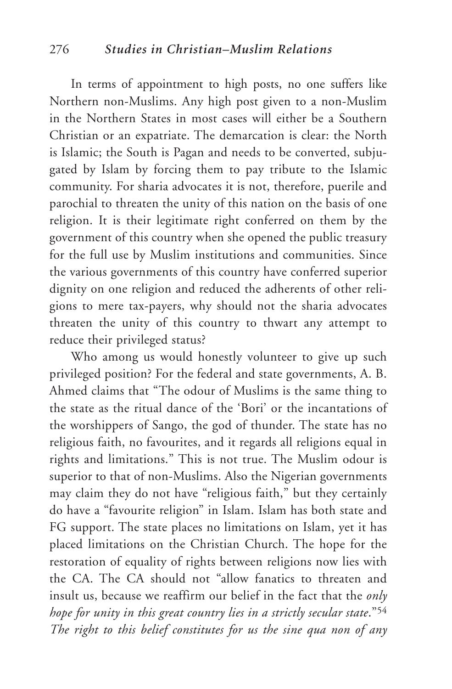In terms of appointment to high posts, no one suffers like Northern non-Muslims. Any high post given to a non-Muslim in the Northern States in most cases will either be a Southern Christian or an expatriate. The demarcation is clear: the North is Islamic; the South is Pagan and needs to be converted, subjugated by Islam by forcing them to pay tribute to the Islamic community. For sharia advocates it is not, therefore, puerile and parochial to threaten the unity of this nation on the basis of one religion. It is their legitimate right conferred on them by the government of this country when she opened the public treasury for the full use by Muslim institutions and communities. Since the various governments of this country have conferred superior dignity on one religion and reduced the adherents of other religions to mere tax-payers, why should not the sharia advocates threaten the unity of this country to thwart any attempt to reduce their privileged status?

Who among us would honestly volunteer to give up such privileged position? For the federal and state governments, A. B. Ahmed claims that "The odour of Muslims is the same thing to the state as the ritual dance of the 'Bori' or the incantations of the worshippers of Sango, the god of thunder. The state has no religious faith, no favourites, and it regards all religions equal in rights and limitations." This is not true. The Muslim odour is superior to that of non-Muslims. Also the Nigerian governments may claim they do not have "religious faith," but they certainly do have a "favourite religion" in Islam. Islam has both state and FG support. The state places no limitations on Islam, yet it has placed limitations on the Christian Church. The hope for the restoration of equality of rights between religions now lies with the CA. The CA should not "allow fanatics to threaten and insult us, because we reaffirm our belief in the fact that the *only hope for unity in this great country lies in a strictly secular state*."54 *The right to this belief constitutes for us the sine qua non of any*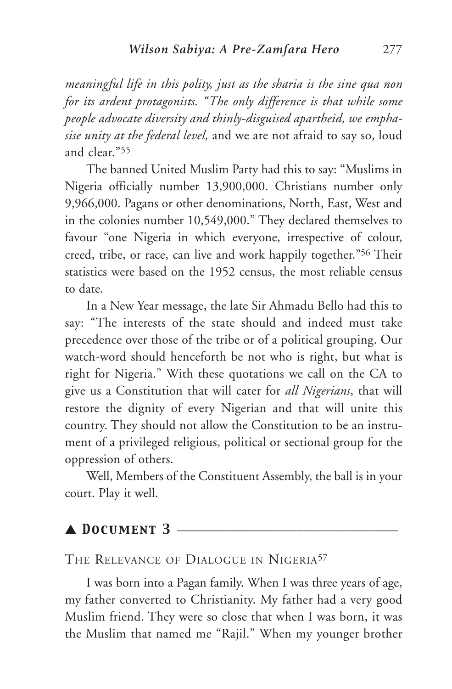*meaningful life in this polity, just as the sharia is the sine qua non for its ardent protagonists. "The only difference is that while some people advocate diversity and thinly-disguised apartheid, we emphasise unity at the federal level,* and we are not afraid to say so, loud and clear."55

The banned United Muslim Party had this to say: "Muslims in Nigeria officially number 13,900,000. Christians number only 9,966,000. Pagans or other denominations, North, East, West and in the colonies number 10,549,000." They declared themselves to favour "one Nigeria in which everyone, irrespective of colour, creed, tribe, or race, can live and work happily together."56 Their statistics were based on the 1952 census, the most reliable census to date.

In a New Year message, the late Sir Ahmadu Bello had this to say: "The interests of the state should and indeed must take precedence over those of the tribe or of a political grouping. Our watch-word should henceforth be not who is right, but what is right for Nigeria." With these quotations we call on the CA to give us a Constitution that will cater for *all Nigerians*, that will restore the dignity of every Nigerian and that will unite this country. They should not allow the Constitution to be an instrument of a privileged religious, political or sectional group for the oppression of others.

Well, Members of the Constituent Assembly, the ball is in your court. Play it well.

## ▲ *Document 3* \_\_\_\_\_\_\_\_\_\_\_\_\_\_\_\_\_\_\_\_\_\_\_\_\_\_\_\_\_\_\_\_\_\_\_\_\_

#### THE RELEVANCE OF DIALOGUE IN NIGERIA<sup>57</sup>

I was born into a Pagan family. When I was three years of age, my father converted to Christianity. My father had a very good Muslim friend. They were so close that when I was born, it was the Muslim that named me "Rajil." When my younger brother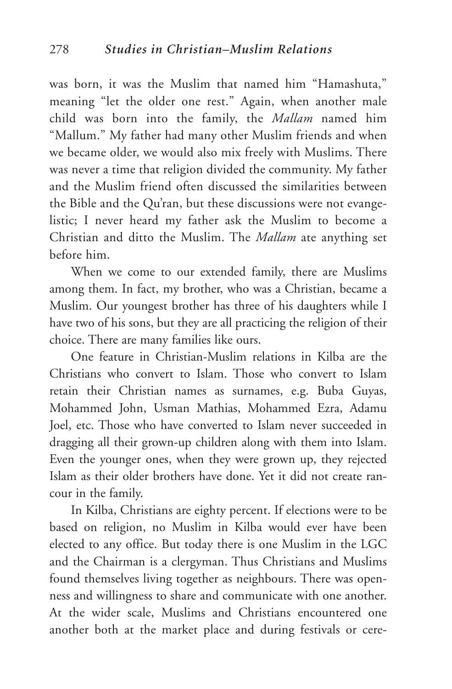was born, it was the Muslim that named him "Hamashuta," meaning "let the older one rest." Again, when another male child was born into the family, the *Mallam* named him "Mallum." My father had many other Muslim friends and when we became older, we would also mix freely with Muslims. There was never a time that religion divided the community. My father and the Muslim friend often discussed the similarities between the Bible and the Qu'ran, but these discussions were not evangelistic; I never heard my father ask the Muslim to become a Christian and ditto the Muslim. The *Mallam* ate anything set before him.

When we come to our extended family, there are Muslims among them. In fact, my brother, who was a Christian, became a Muslim. Our youngest brother has three of his daughters while I have two of his sons, but they are all practicing the religion of their choice. There are many families like ours.

One feature in Christian-Muslim relations in Kilba are the Christians who convert to Islam. Those who convert to Islam retain their Christian names as surnames, e.g. Buba Guyas, Mohammed John, Usman Mathias, Mohammed Ezra, Adamu Joel, etc. Those who have converted to Islam never succeeded in dragging all their grown-up children along with them into Islam. Even the younger ones, when they were grown up, they rejected Islam as their older brothers have done. Yet it did not create rancour in the family.

In Kilba, Christians are eighty percent. If elections were to be based on religion, no Muslim in Kilba would ever have been elected to any office. But today there is one Muslim in the LGC and the Chairman is a clergyman. Thus Christians and Muslims found themselves living together as neighbours. There was openness and willingness to share and communicate with one another. At the wider scale, Muslims and Christians encountered one another both at the market place and during festivals or cere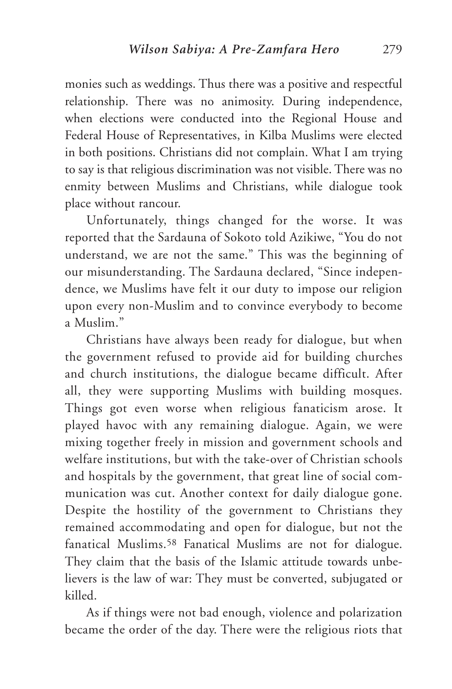monies such as weddings. Thus there was a positive and respectful relationship. There was no animosity. During independence, when elections were conducted into the Regional House and Federal House of Representatives, in Kilba Muslims were elected in both positions. Christians did not complain. What I am trying to say is that religious discrimination was not visible. There was no enmity between Muslims and Christians, while dialogue took place without rancour.

Unfortunately, things changed for the worse. It was reported that the Sardauna of Sokoto told Azikiwe, "You do not understand, we are not the same." This was the beginning of our misunderstanding. The Sardauna declared, "Since independence, we Muslims have felt it our duty to impose our religion upon every non-Muslim and to convince everybody to become a Muslim."

Christians have always been ready for dialogue, but when the government refused to provide aid for building churches and church institutions, the dialogue became difficult. After all, they were supporting Muslims with building mosques. Things got even worse when religious fanaticism arose. It played havoc with any remaining dialogue. Again, we were mixing together freely in mission and government schools and welfare institutions, but with the take-over of Christian schools and hospitals by the government, that great line of social communication was cut. Another context for daily dialogue gone. Despite the hostility of the government to Christians they remained accommodating and open for dialogue, but not the fanatical Muslims.58 Fanatical Muslims are not for dialogue. They claim that the basis of the Islamic attitude towards unbelievers is the law of war: They must be converted, subjugated or killed.

As if things were not bad enough, violence and polarization became the order of the day. There were the religious riots that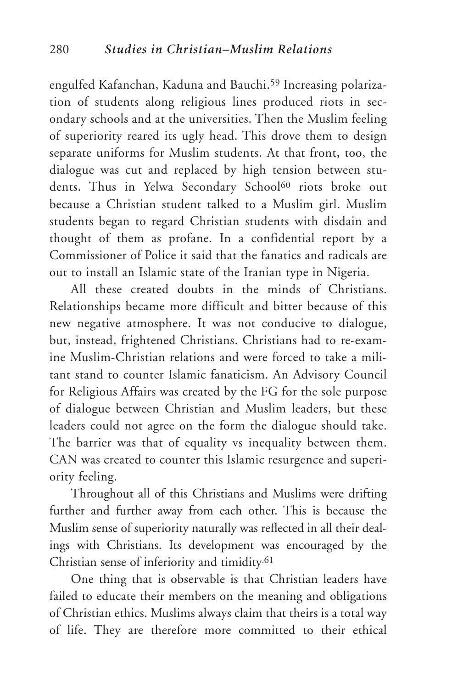engulfed Kafanchan, Kaduna and Bauchi.<sup>59</sup> Increasing polarization of students along religious lines produced riots in secondary schools and at the universities. Then the Muslim feeling of superiority reared its ugly head. This drove them to design separate uniforms for Muslim students. At that front, too, the dialogue was cut and replaced by high tension between students. Thus in Yelwa Secondary School<sup>60</sup> riots broke out because a Christian student talked to a Muslim girl. Muslim students began to regard Christian students with disdain and thought of them as profane. In a confidential report by a Commissioner of Police it said that the fanatics and radicals are out to install an Islamic state of the Iranian type in Nigeria.

All these created doubts in the minds of Christians. Relationships became more difficult and bitter because of this new negative atmosphere. It was not conducive to dialogue, but, instead, frightened Christians. Christians had to re-examine Muslim-Christian relations and were forced to take a militant stand to counter Islamic fanaticism. An Advisory Council for Religious Affairs was created by the FG for the sole purpose of dialogue between Christian and Muslim leaders, but these leaders could not agree on the form the dialogue should take. The barrier was that of equality vs inequality between them. CAN was created to counter this Islamic resurgence and superiority feeling.

Throughout all of this Christians and Muslims were drifting further and further away from each other. This is because the Muslim sense of superiority naturally was reflected in all their dealings with Christians. Its development was encouraged by the Christian sense of inferiority and timidity.61

One thing that is observable is that Christian leaders have failed to educate their members on the meaning and obligations of Christian ethics. Muslims always claim that theirs is a total way of life. They are therefore more committed to their ethical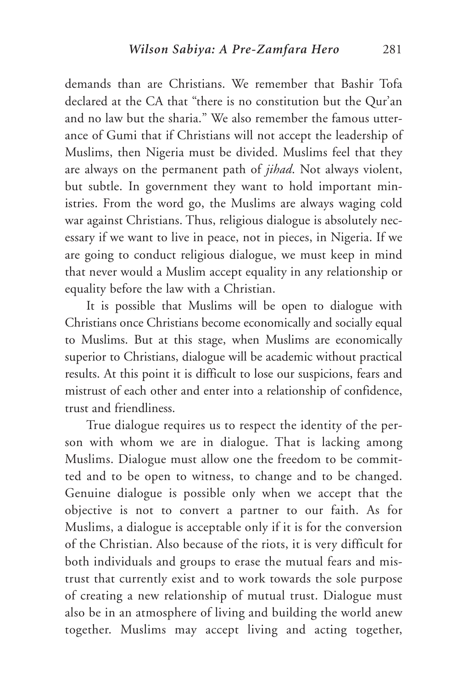demands than are Christians. We remember that Bashir Tofa declared at the CA that "there is no constitution but the Qur'an and no law but the sharia." We also remember the famous utterance of Gumi that if Christians will not accept the leadership of Muslims, then Nigeria must be divided. Muslims feel that they are always on the permanent path of *jihad*. Not always violent, but subtle. In government they want to hold important ministries. From the word go, the Muslims are always waging cold war against Christians. Thus, religious dialogue is absolutely necessary if we want to live in peace, not in pieces, in Nigeria. If we are going to conduct religious dialogue, we must keep in mind that never would a Muslim accept equality in any relationship or equality before the law with a Christian.

It is possible that Muslims will be open to dialogue with Christians once Christians become economically and socially equal to Muslims. But at this stage, when Muslims are economically superior to Christians, dialogue will be academic without practical results. At this point it is difficult to lose our suspicions, fears and mistrust of each other and enter into a relationship of confidence, trust and friendliness.

True dialogue requires us to respect the identity of the person with whom we are in dialogue. That is lacking among Muslims. Dialogue must allow one the freedom to be committed and to be open to witness, to change and to be changed. Genuine dialogue is possible only when we accept that the objective is not to convert a partner to our faith. As for Muslims, a dialogue is acceptable only if it is for the conversion of the Christian. Also because of the riots, it is very difficult for both individuals and groups to erase the mutual fears and mistrust that currently exist and to work towards the sole purpose of creating a new relationship of mutual trust. Dialogue must also be in an atmosphere of living and building the world anew together. Muslims may accept living and acting together,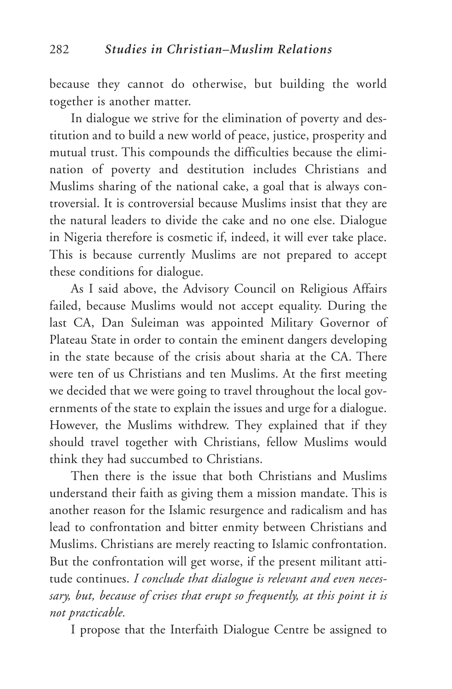because they cannot do otherwise, but building the world together is another matter.

In dialogue we strive for the elimination of poverty and destitution and to build a new world of peace, justice, prosperity and mutual trust. This compounds the difficulties because the elimination of poverty and destitution includes Christians and Muslims sharing of the national cake, a goal that is always controversial. It is controversial because Muslims insist that they are the natural leaders to divide the cake and no one else. Dialogue in Nigeria therefore is cosmetic if, indeed, it will ever take place. This is because currently Muslims are not prepared to accept these conditions for dialogue.

As I said above, the Advisory Council on Religious Affairs failed, because Muslims would not accept equality. During the last CA, Dan Suleiman was appointed Military Governor of Plateau State in order to contain the eminent dangers developing in the state because of the crisis about sharia at the CA. There were ten of us Christians and ten Muslims. At the first meeting we decided that we were going to travel throughout the local governments of the state to explain the issues and urge for a dialogue. However, the Muslims withdrew. They explained that if they should travel together with Christians, fellow Muslims would think they had succumbed to Christians.

Then there is the issue that both Christians and Muslims understand their faith as giving them a mission mandate. This is another reason for the Islamic resurgence and radicalism and has lead to confrontation and bitter enmity between Christians and Muslims. Christians are merely reacting to Islamic confrontation. But the confrontation will get worse, if the present militant attitude continues. *I conclude that dialogue is relevant and even necessary, but, because of crises that erupt so frequently, at this point it is not practicable.*

I propose that the Interfaith Dialogue Centre be assigned to